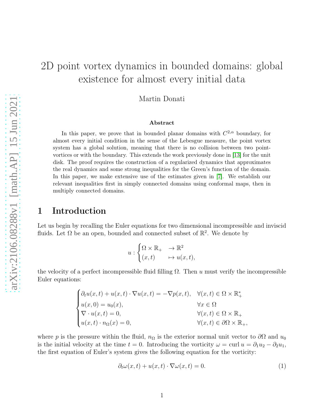# 2D point vortex dynamics in bounded domains: global existence for almost every initial data

Martin Donati

#### Abstract

In this paper, we prove that in bounded planar domains with  $C^{2,\alpha}$  boundary, for almost every initial condition in the sense of the Lebesgue measure, the point vortex system has a global solution, meaning that there is no collision between two pointvortices or with the boundary. This extends the work previously done in [\[13\]](#page-35-0) for the unit disk. The proof requires the construction of a regularized dynamics that approximates the real dynamics and some strong inequalities for the Green's function of the domain. In this paper, we make extensive use of the estimates given in [\[7\]](#page-35-1). We establish our relevant inequalities first in simply connected domains using conformal maps, then in multiply connected domains.

### 1 Introduction

Let us begin by recalling the Euler equations for two dimensional incompressible and inviscid fluids. Let  $\Omega$  be an open, bounded and connected subset of  $\mathbb{R}^2$ . We denote by

$$
u: \begin{cases} \Omega \times \mathbb{R}_+ & \to \mathbb{R}^2 \\ (x, t) & \mapsto u(x, t), \end{cases}
$$

the velocity of a perfect incompressible fluid filling  $\Omega$ . Then u must verify the incompressible Euler equations:

$$
\begin{cases} \partial_t u(x,t) + u(x,t) \cdot \nabla u(x,t) = -\nabla p(x,t), & \forall (x,t) \in \Omega \times \mathbb{R}_+^* \\ u(x,0) = u_0(x), & \forall x \in \Omega \\ \nabla \cdot u(x,t) = 0, & \forall (x,t) \in \Omega \times \mathbb{R}_+ \\ u(x,t) \cdot n_{\Omega}(x) = 0, & \forall (x,t) \in \partial\Omega \times \mathbb{R}_+, \end{cases}
$$

where p is the pressure within the fluid,  $n_{\Omega}$  is the exterior normal unit vector to  $\partial\Omega$  and  $u_0$ is the initial velocity at the time  $t = 0$ . Introducing the vorticity  $\omega = \text{curl } u = \partial_1 u_2 - \partial_2 u_1$ , the first equation of Euler's system gives the following equation for the vorticity:

<span id="page-0-0"></span>
$$
\partial_t \omega(x, t) + u(x, t) \cdot \nabla \omega(x, t) = 0. \tag{1}
$$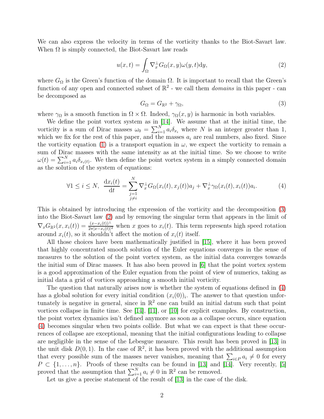We can also express the velocity in terms of the vorticity thanks to the Biot-Savart law. When  $\Omega$  is simply connected, the Biot-Savart law reads

<span id="page-1-1"></span>
$$
u(x,t) = \int_{\Omega} \nabla_x^{\perp} G_{\Omega}(x,y)\omega(y,t) \mathrm{d}y,\tag{2}
$$

where  $G_{\Omega}$  is the Green's function of the domain  $\Omega$ . It is important to recall that the Green's function of any open and connected subset of  $\mathbb{R}^2$  - we call them *domains* in this paper - can be decomposed as

<span id="page-1-0"></span>
$$
G_{\Omega} = G_{\mathbb{R}^2} + \gamma_{\Omega},\tag{3}
$$

where  $\gamma_{\Omega}$  is a smooth function in  $\Omega \times \Omega$ . Indeed,  $\gamma_{\Omega}(x, y)$  is harmonic in both variables.

We define the point vortex system as in [\[14\]](#page-35-2). We assume that at the initial time, the vorticity is a sum of Dirac masses  $\omega_0 = \sum_{i=1}^{N} a_i \delta_{x_i}$  where N is an integer greater than 1, which we fix for the rest of this paper, and the masses  $a_i$  are real numbers, also fixed. Since the vorticity equation [\(1\)](#page-0-0) is a transport equation in  $\omega$ , we expect the vorticity to remain a sum of Dirac masses with the same intensity as at the initial time. So we choose to write  $\omega(t) = \sum_{i=1}^{N} a_i \delta_{x_i(t)}$ . We then define the point vortex system in a simply connected domain as the solution of the system of equations:

<span id="page-1-2"></span>
$$
\forall 1 \leq i \leq N, \quad \frac{\mathrm{d}x_i(t)}{\mathrm{d}t} = \sum_{\substack{j=1 \ j \neq i}}^N \nabla_x^{\perp} G_{\Omega}(x_i(t), x_j(t)) a_j + \nabla_x^{\perp} \gamma_{\Omega}(x_i(t), x_i(t)) a_i. \tag{4}
$$

This is obtained by introducing the expression of the vorticity and the decomposition [\(3\)](#page-1-0) into the Biot-Savart law [\(2\)](#page-1-1) and by removing the singular term that appears in the limit of  $\nabla_x G_{\mathbb{R}^2}(x, x_i(t)) = \frac{(x-x_i(t))^{\perp}}{2\pi |x-x_i(t)|^2}$  when x goes to  $x_i(t)$ . This term represents high speed rotation around  $x_i(t)$ , so it shouldn't affect the motion of  $x_i(t)$  itself.

All those choices have been mathematically justified in [\[15\]](#page-35-3), where it has been proved that highly concentrated smooth solution of the Euler equations converges in the sense of measures to the solution of the point vortex system, as the initial data converges towards the initial sum of Dirac masses. It has also been proved in [\[6\]](#page-35-4) that the point vortex system is a good approximation of the Euler equation from the point of view of numerics, taking as initial data a grid of vortices approaching a smooth initial vorticity.

The question that naturally arises now is whether the system of equations defined in [\(4\)](#page-1-2) has a global solution for every initial condition  $(x_i(0))_i$ . The answer to that question unfortunately is negative in general, since in  $\mathbb{R}^2$  one can build an initial datum such that point vortices collapse in finite time. See [\[14\]](#page-35-2), [\[11\]](#page-35-5), or [\[10\]](#page-35-6) for explicit examples. By construction, the point vortex dynamics isn't defined anymore as soon as a collapse occurs, since equation [\(4\)](#page-1-2) becomes singular when two points collide. But what we can expect is that these occurrences of collapse are exceptional, meaning that the initial configurations leading to collapse are negligible in the sense of the Lebesgue measure. This result has been proved in [\[13\]](#page-35-0) in the unit disk  $D(0,1)$ . In the case of  $\mathbb{R}^2$ , it has been proved with the additional assumption that every possible sum of the masses never vanishes, meaning that  $\sum_{i\in P} a_i \neq 0$  for every  $P \subset \{1, \ldots, n\}$ . Proofs of these results can be found in [\[13\]](#page-35-0) and [\[14\]](#page-35-2). Very recently, [\[5\]](#page-35-7) proved that the assumption that  $\sum_{i=1}^{N} a_i \neq 0$  in  $\mathbb{R}^2$  can be removed.

Let us give a precise statement of the result of [\[13\]](#page-35-0) in the case of the disk.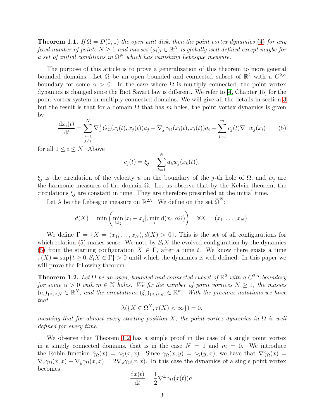<span id="page-2-2"></span>**Theorem 1.1.** If  $\Omega = D(0, 1)$  the open unit disk, then the point vortex dynamics [\(4\)](#page-1-2) for any fixed number of points  $N \geq 1$  and masses  $(a_i)_i \in \mathbb{R}^N$  is globally well defined except maybe for a set of initial conditions in  $\Omega^N$  which has vanishing Lebesgue measure.

The purpose of this article is to prove a generalization of this theorem to more general bounded domains. Let  $\Omega$  be an open bounded and connected subset of  $\mathbb{R}^2$  with a  $C^{2,\alpha}$ boundary for some  $\alpha > 0$ . In the case where  $\Omega$  is multiply connected, the point vortex dynamics is changed since the Biot Savart law is different. We refer to [\[4,](#page-35-8) Chapter 15] for the point-vortex system in multiply-connected domains. We will give all the details in section [3](#page-16-0) but the result is that for a domain  $\Omega$  that has m holes, the point vortex dynamics is given by

<span id="page-2-0"></span>
$$
\frac{\mathrm{d}x_i(t)}{\mathrm{d}t} = \sum_{\substack{j=1\\j\neq i}}^N \nabla_x^{\perp} G_{\Omega}(x_i(t), x_j(t)) a_j + \nabla_x^{\perp} \gamma_{\Omega}(x_i(t), x_i(t)) a_i + \sum_{j=1}^m c_j(t) \nabla^{\perp} w_j(x_i) \tag{5}
$$

for all  $1 \leq i \leq N$ . Above

$$
c_j(t) = \xi_j + \sum_{k=1}^{N} a_k w_j(x_k(t)),
$$

 $\xi_j$  is the circulation of the velocity u on the boundary of the j-th hole of  $\Omega$ , and  $w_j$  are the harmonic measures of the domain  $\Omega$ . Let us observe that by the Kelvin theorem, the circulations  $\xi_i$  are constant in time. They are therefore prescribed at the initial time.

Let  $\lambda$  be the Lebesgue measure on  $\mathbb{R}^{2N}$ . We define on the set  $\overline{\Omega}^{N}$ :

$$
d(X) = \min\left(\min_{i \neq j} |x_i - x_j|, \min_i d(x_i, \partial \Omega)\right) \quad \forall X = (x_1, \dots, x_N).
$$

We define  $\Gamma = \{X = (x_1, \ldots, x_N), d(X) > 0\}$ . This is the set of all configurations for which relation [\(5\)](#page-2-0) makes sense. We note by  $S_t X$  the evolved configuration by the dynamics [\(5\)](#page-2-0) from the starting configuration  $X \in \Gamma$ , after a time t. We know there exists a time  $\tau(X) = \sup\{t \geq 0, S_t X \in \Gamma\} > 0$  until which the dynamics is well defined. In this paper we will prove the following theorem.

<span id="page-2-1"></span>**Theorem 1.2.** Let  $\Omega$  be an open, bounded and connected subset of  $\mathbb{R}^2$  with a  $C^{2,\alpha}$  boundary for some  $\alpha > 0$  with  $m \in \mathbb{N}$  holes. We fix the number of point vortices  $N \geq 1$ , the masses  $(a_i)_{1\leq i\leq N} \in \mathbb{R}^N$ , and the circulations  $(\xi_j)_{1\leq j\leq m} \in \mathbb{R}^m$ . With the previous notations we have that

$$
\lambda(\{X \in \Omega^N, \tau(X) < \infty\}) = 0,
$$

meaning that for almost every starting position X, the point vortex dynamics in  $\Omega$  is well defined for every time.

We observe that Theorem [1.2](#page-2-1) has a simple proof in the case of a single point vortex in a simply connected domains, that is in the case  $N = 1$  and  $m = 0$ . We introduce the Robin function  $\widetilde{\gamma}_{\Omega}(x) = \gamma_{\Omega}(x, x)$ . Since  $\gamma_{\Omega}(x, y) = \gamma_{\Omega}(y, x)$ , we have that  $\nabla \widetilde{\gamma}_{\Omega}(x) =$  $\nabla_x \gamma_\Omega(x,x) + \nabla_y \gamma_\Omega(x,x) = 2 \nabla_x \gamma_\Omega(x,x)$ . In this case the dynamics of a single point vortex becomes

$$
\frac{\mathrm{d}x(t)}{\mathrm{d}t} = \frac{1}{2}\nabla^{\perp}\widetilde{\gamma}_{\Omega}(x(t))a.
$$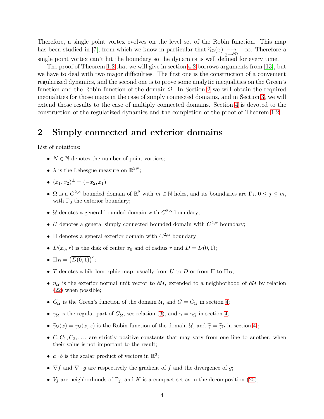Therefore, a single point vortex evolves on the level set of the Robin function. This map has been studied in [\[7\]](#page-35-1), from which we know in particular that  $\tilde{\gamma}_\Omega(x) \longrightarrow +\infty$ . Therefore a single point vortex can't hit the boundary so the dynamics is well defined for every time.

The proof of Theorem [1.2](#page-2-1) that we will give in section [4.2](#page-28-0) borrows arguments from [\[13\]](#page-35-0), but we have to deal with two major difficulties. The first one is the construction of a convenient regularized dynamics, and the second one is to prove some analytic inequalities on the Green's function and the Robin function of the domain Ω. In Section [2](#page-3-0) we will obtain the required inequalities for those maps in the case of simply connected domains, and in Section [3,](#page-16-0) we will extend those results to the case of multiply connected domains. Section [4](#page-21-0) is devoted to the construction of the regularized dynamics and the completion of the proof of Theorem [1.2.](#page-2-1)

# <span id="page-3-0"></span>2 Simply connected and exterior domains

List of notations:

- $N \in \mathbb{N}$  denotes the number of point vortices;
- $\lambda$  is the Lebesgue measure on  $\mathbb{R}^{2N}$ ;
- $(x_1, x_2)^\perp = (-x_2, x_1);$
- $\Omega$  is a  $C^{2,\alpha}$  bounded domain of  $\mathbb{R}^2$  with  $m \in \mathbb{N}$  holes, and its boundaries are  $\Gamma_j$ ,  $0 \le j \le m$ , with  $\Gamma_0$  the exterior boundary;
- U denotes a general bounded domain with  $C^{2,\alpha}$  boundary;
- U denotes a general simply connected bounded domain with  $C^{2,\alpha}$  boundary;
- $\Pi$  denotes a general exterior domain with  $C^{2,\alpha}$  boundary;
- $D(x_0, r)$  is the disk of center  $x_0$  and of radius r and  $D = D(0, 1);$

• 
$$
\Pi_D = \left(\overline{D(0,1)}\right)^c;
$$

- T denotes a biholomorphic map, usually from U to D or from  $\Pi$  to  $\Pi_D$ ;
- $n_{\mathcal{U}}$  is the exterior normal unit vector to  $\partial\mathcal{U}$ , extended to a neighborhood of  $\partial\mathcal{U}$  by relation [\(22\)](#page-11-0) when possible;
- $G_{\mathcal{U}}$  is the Green's function of the domain  $\mathcal{U}$ , and  $G = G_{\Omega}$  in section [4;](#page-21-0)
- $\gamma_{\mathcal{U}}$  is the regular part of  $G_{\mathcal{U}}$ , see relation [\(3\)](#page-1-0), and  $\gamma = \gamma_{\Omega}$  in section [4;](#page-21-0)
- $\tilde{\gamma}_\mathcal{U}(x) = \gamma_\mathcal{U}(x, x)$  is the Robin function of the domain U, and  $\tilde{\gamma} = \tilde{\gamma}_\Omega$  in section [4](#page-21-0);
- $C, C_1, C_2, \ldots$ , are strictly positive constants that may vary from one line to another, when their value is not important to the result;
- $a \cdot b$  is the scalar product of vectors in  $\mathbb{R}^2$ ;
- $\nabla f$  and  $\nabla \cdot g$  are respectively the gradient of f and the divergence of g;
- $V_j$  are neighborhoods of  $\Gamma_j$ , and K is a compact set as in the decomposition [\(25\)](#page-16-1);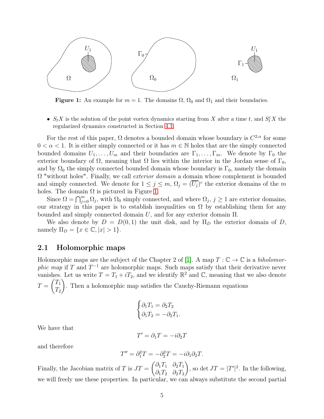<span id="page-4-0"></span>

**Figure 1:** An example for  $m = 1$ . The domains  $\Omega$ ,  $\Omega_0$  and  $\Omega_1$  and their boundaries.

•  $S_t X$  is the solution of the point vortex dynamics starting from X after a time t, and  $S_t^{\varepsilon} X$  the regularized dynamics constructed in Section [4.1;](#page-22-0)

For the rest of this paper,  $\Omega$  denotes a bounded domain whose boundary is  $C^{2,\alpha}$  for some  $0 < \alpha < 1$ . It is either simply connected or it has  $m \in \mathbb{N}$  holes that are the simply connected bounded domains  $U_1, \ldots, U_m$  and their boundaries are  $\Gamma_1, \ldots, \Gamma_m$ . We denote by  $\Gamma_0$  the exterior boundary of  $\Omega$ , meaning that  $\Omega$  lies within the interior in the Jordan sense of  $\Gamma_0$ , and by  $\Omega_0$  the simply connected bounded domain whose boundary is  $\Gamma_0$ , namely the domain  $\Omega$  "without holes". Finally, we call *exterior domain* a domain whose complement is bounded and simply connected. We denote for  $1 \leq j \leq m$ ,  $\Omega_j = (\overline{U_j})^c$  the exterior domains of the m holes. The domain  $\Omega$  is pictured in Figure [1.](#page-4-0)

Since  $\Omega = \bigcap_{j=0}^{m} \Omega_j$ , with  $\Omega_0$  simply connected, and where  $\Omega_j$ ,  $j \ge 1$  are exterior domains, our strategy in this paper is to establish inequalities on  $\Omega$  by establishing them for any bounded and simply connected domain  $U$ , and for any exterior domain  $\Pi$ .

We also denote by  $D = D(0, 1)$  the unit disk, and by  $\Pi_D$  the exterior domain of D, namely  $\Pi_D = \{x \in \mathbb{C}, |x| > 1\}.$ 

#### 2.1 Holomorphic maps

Holomorphic maps are the subject of the Chapter 2 of [\[1\]](#page-34-0). A map  $T : \mathbb{C} \to \mathbb{C}$  is a biholomor*phic map* if T and  $T^{-1}$  are holomorphic maps. Such maps satisfy that their derivative never vanishes. Let us write  $T = T_1 + iT_2$ , and we identify  $\mathbb{R}^2$  and  $\mathbb{C}$ , meaning that we also denote  $T =$  $\sqrt{T_1}$  $\scriptstyle T_2$  $\setminus$ . Then a holomorphic map satisfies the Cauchy-Riemann equations

$$
\begin{cases}\n\partial_1 T_1 = \partial_2 T_2 \\
\partial_1 T_2 = -\partial_2 T_1.\n\end{cases}
$$

We have that

$$
T' = \partial_1 T = -i \partial_2 T
$$

and therefore

$$
T'' = \partial_1^2 T = -\partial_2^2 T = -i\partial_1 \partial_2 T.
$$

Finally, the Jacobian matrix of T is  $JT =$  $\int \partial_1 T_1 \quad \partial_2 T_1$  $\partial_1 T_2 \quad \partial_2 T_2$  $\setminus$ , so det  $JT = |T'|^2$ . In the following, we will freely use these properties. In particular, we can always substitute the second partial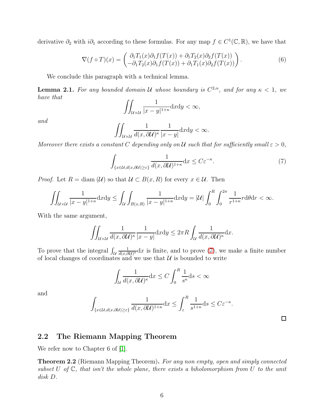derivative  $\partial_2$  with  $i\partial_1$  according to these formulas. For any map  $f \in C^1(\mathbb{C}, \mathbb{R})$ , we have that

<span id="page-5-1"></span>
$$
\nabla(f \circ T)(x) = \begin{pmatrix} \partial_1 T_1(x) \partial_1 f(T(x)) + \partial_1 T_2(x) \partial_2 f(T(x)) \\ -\partial_1 T_2(x) \partial_1 f(T(x)) + \partial_1 T_1(x) \partial_2 f(T(x)) \end{pmatrix}.
$$
 (6)

We conclude this paragraph with a technical lemma.

<span id="page-5-2"></span>**Lemma 2.1.** For any bounded domain U whose boundary is  $C^{2,\alpha}$ , and for any  $\kappa < 1$ , we have that

$$
\iint_{\mathcal{U}\times\mathcal{U}}\frac{1}{|x-y|^{1+\kappa}}\mathrm{d}x\mathrm{d}y<\infty,
$$

and

$$
\iint_{\mathcal{U}\times\mathcal{U}}\frac{1}{d(x,\partial\mathcal{U})^{\kappa}}\frac{1}{|x-y|}\mathrm{d}x\mathrm{d}y<\infty.
$$

Moreover there exists a constant C depending only on U such that for sufficiently small  $\varepsilon > 0$ ,

<span id="page-5-0"></span>
$$
\int_{\{x \in \mathcal{U}, d(x,\partial \mathcal{U}) \geq \varepsilon\}} \frac{1}{d(x,\partial \mathcal{U})^{1+\kappa}} dx \leq C \varepsilon^{-\kappa}.
$$
 (7)

*Proof.* Let  $R = \text{diam}(\mathcal{U})$  so that  $\mathcal{U} \subset B(x, R)$  for every  $x \in \mathcal{U}$ . Then

$$
\iint_{\mathcal{U}\times\mathcal{U}}\frac{1}{|x-y|^{1+\kappa}}\mathrm{d}x\mathrm{d}y \le \iint_{\mathcal{U}}\int_{B(x,R)}\frac{1}{|x-y|^{1+\kappa}}\mathrm{d}x\mathrm{d}y = |\mathcal{U}|\int_0^R\int_0^{2\pi}\frac{1}{r^{1+\kappa}}r\mathrm{d}\theta\mathrm{d}r < \infty.
$$

With the same argument,

$$
\iint_{\mathcal{U}\times\mathcal{U}}\frac{1}{d(x,\partial\mathcal{U})^{\kappa}}\frac{1}{|x-y|}\mathrm{d}x\mathrm{d}y\leq 2\pi R\int_{\mathcal{U}}\frac{1}{d(x,\partial\mathcal{U})^{\kappa}}\mathrm{d}x.
$$

To prove that the integral  $\int_{\mathcal{U}}$ 1  $\frac{1}{d(x,\partial\mathcal{U})^{\kappa}}dx$  is finite, and to prove [\(7\)](#page-5-0), we make a finite number of local changes of coordinates and we use that  $\mathcal U$  is bounded to write

$$
\int_{\mathcal{U}} \frac{1}{d(x, \partial \mathcal{U})^{\kappa}} dx \le C \int_0^R \frac{1}{s^{\kappa}} ds < \infty
$$

and

$$
\int_{\{x\in\mathcal{U},d(x,\partial\mathcal{U})\geq\varepsilon\}}\frac{1}{d(x,\partial\mathcal{U})^{1+\kappa}}\mathrm{d}x\leq\int_{\varepsilon}^{R}\frac{1}{s^{1+\kappa}}\mathrm{d}s\leq C\varepsilon^{-\kappa}.
$$

 $\Box$ 

### 2.2 The Riemann Mapping Theorem

We refer now to Chapter 6 of [\[1\]](#page-34-0).

**Theorem 2.2** (Riemann Mapping Theorem). For any non empty, open and simply connected subset U of  $\mathbb C$ , that isn't the whole plane, there exists a biholomorphism from U to the unit disk D.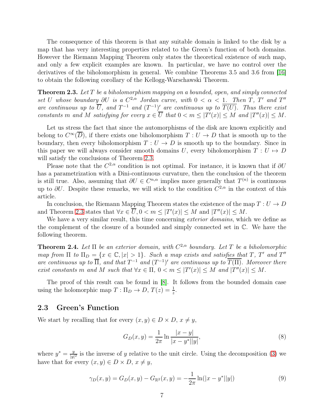The consequence of this theorem is that any suitable domain is linked to the disk by a map that has very interesting properties related to the Green's function of both domains. However the Riemann Mapping Theorem only states the theoretical existence of such map, and only a few explicit examples are known. In particular, we have no control over the derivatives of the biholomorphism in general. We combine Theorems 3.5 and 3.6 from [\[16\]](#page-35-9) to obtain the following corollary of the Kellogg-Warschawski Theorem.

<span id="page-6-0"></span>**Theorem 2.3.** Let T be a biholomorphism mapping on a bounded, open, and simply connected set U whose boundary  $\partial U$  is a  $C^{2,\alpha}$  Jordan curve, with  $0 < \alpha < 1$ . Then T, T' and T'' are continuous up to  $\overline{U}$ , and  $T^{-1}$  and  $(T^{-1})'$  are continuous up to  $\overline{T(U)}$ . Thus there exist constants m and M satisfying for every  $x \in \overline{U}$  that  $0 < m \leq |T'(x)| \leq M$  and  $|T''(x)| \leq M$ .

Let us stress the fact that since the automorphisms of the disk are known explicitly and belong to  $C^{\infty}(\overline{D})$ , if there exists one biholomorphism  $T: U \to D$  that is smooth up to the boundary, then every biholomorphism  $T: U \to D$  is smooth up to the boundary. Since in this paper we will always consider smooth domains U, every biholomorphism  $T : U \rightarrow D$ will satisfy the conclusions of Theorem [2.3.](#page-6-0)

Please note that the  $C^{2,\alpha}$  condition is not optimal. For instance, it is known that if  $\partial U$ has a parametrization with a Dini-continuous curvature, then the conclusion of the theorem is still true. Also, assuming that  $\partial U \in C^{n,\alpha}$  implies more generally that  $T^{(n)}$  is continuous up to  $\partial U$ . Despite these remarks, we will stick to the condition  $C^{2,\alpha}$  in the context of this article.

In conclusion, the Riemann Mapping Theorem states the existence of the map  $T: U \to D$ and Theorem [2.3](#page-6-0) states that  $\forall x \in \overline{U}, 0 < m \leq |T'(x)| \leq M$  and  $|T''(x)| \leq M$ .

We have a very similar result, this time concerning *exterior domains*, which we define as the complement of the closure of a bounded and simply connected set in C. We have the following theorem.

<span id="page-6-1"></span>**Theorem 2.4.** Let  $\Pi$  be an exterior domain, with  $C^{2,\alpha}$  boundary. Let T be a biholomorphic map from  $\Pi$  to  $\Pi_D = \{x \in \mathbb{C}, |x| > 1\}$ . Such a map exists and satisfies that T, T' and T'' are continuous up to  $\overline{\Pi}$ , and that  $T^{-1}$  and  $(T^{-1})'$  are continuous up to  $T(\Pi)$ . Moreover there exist constants m and M such that  $\forall x \in \Pi$ ,  $0 < m \leq |T'(x)| \leq M$  and  $|T''(x)| \leq M$ .

The proof of this result can be found in [\[8\]](#page-35-10). It follows from the bounded domain case using the holomorphic map  $T: \Pi_D \to D$ ,  $T(z) = \frac{1}{z}$ .

### 2.3 Green's Function

We start by recalling that for every  $(x, y) \in D \times D$ ,  $x \neq y$ ,

<span id="page-6-3"></span>
$$
G_D(x,y) = \frac{1}{2\pi} \ln \frac{|x-y|}{|x-y^*||y|},\tag{8}
$$

where  $y^* = \frac{y}{|y|}$  $\frac{y}{|y|^2}$  is the inverse of y relative to the unit circle. Using the decomposition [\(3\)](#page-1-0) we have that for every  $(x, y) \in D \times D$ ,  $x \neq y$ ,

<span id="page-6-2"></span>
$$
\gamma_D(x, y) = G_D(x, y) - G_{\mathbb{R}^2}(x, y) = -\frac{1}{2\pi} \ln(|x - y^*||y|)
$$
\n(9)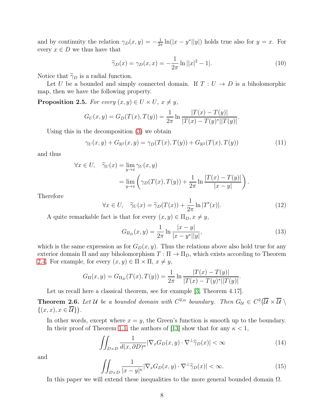and by continuity the relation  $\gamma_D(x, y) = -\frac{1}{2\tau}$  $\frac{1}{2\pi} \ln(|x-y^*||y|)$  holds true also for  $y=x$ . For every  $x\in D$  we thus have that

<span id="page-7-6"></span>
$$
\widetilde{\gamma}_D(x) = \gamma_D(x, x) = -\frac{1}{2\pi} \ln ||x|^2 - 1|.
$$
 (10)

Notice that  $\widetilde{\gamma}_D$  is a radial function.

Let U be a bounded and simply connected domain. If  $T: U \to D$  is a biholomorphic map, then we have the following property.

<span id="page-7-2"></span>**Proposition 2.5.** For every  $(x, y) \in U \times U$ ,  $x \neq y$ ,

$$
G_U(x, y) = G_D(T(x), T(y)) = \frac{1}{2\pi} \ln \frac{|T(x) - T(y)|}{|T(x) - T(y)^*||T(y)|}.
$$

Using this in the decomposition [\(3\)](#page-1-0) we obtain

<span id="page-7-4"></span>
$$
\gamma_U(x, y) + G_{\mathbb{R}^2}(x, y) = \gamma_D(T(x), T(y)) + G_{\mathbb{R}^2}(T(x), T(y))
$$
\n(11)

and thus

$$
\forall x \in U, \quad \widetilde{\gamma}_U(x) = \lim_{y \to x} \gamma_U(x, y)
$$
  
= 
$$
\lim_{y \to x} \left( \gamma_D(T(x), T(y)) + \frac{1}{2\pi} \ln \frac{|T(x) - T(y)|}{|x - y|} \right).
$$

Therefore

<span id="page-7-3"></span>
$$
\forall x \in U, \quad \widetilde{\gamma}_U(x) = \widetilde{\gamma}_D(T(x)) + \frac{1}{2\pi} \ln |T'(x)|. \tag{12}
$$

A quite remarkable fact is that for every  $(x, y) \in \Pi_D, x \neq y$ ,

<span id="page-7-5"></span>
$$
G_{\Pi_D}(x,y) = \frac{1}{2\pi} \ln \frac{|x-y|}{|x-y^*||y|},\tag{13}
$$

which is the same expression as for  $G_D(x, y)$ . Thus the relations above also hold true for any exterior domain  $\Pi$  and any biholomorphism  $T : \Pi \to \Pi_D$ , which exists according to Theorem [2.4.](#page-6-1) For example, for every  $(x, y) \in \Pi \times \Pi$ ,  $x \neq y$ ,

$$
G_{\Pi}(x,y) = G_{\Pi_D}(T(x),T(y)) = \frac{1}{2\pi} \ln \frac{|T(x) - T(y)|}{|T(x) - T(y)^*||T(y)|}.
$$

Let us recall here a classical theorem, see for example [\[3,](#page-34-1) Theorem 4.17].

<span id="page-7-7"></span>**Theorem 2.6.** Let U be a bounded domain with  $C^{2,\alpha}$  boundary. Then  $G_u \in C^2(\overline{U} \times \overline{U})$  $\{(x, x), x \in \overline{\mathcal{U}}\}\big).$ 

In other words, except where  $x = y$ , the Green's function is smooth up to the boundary. In their proof of Theorem [1.1,](#page-2-2) the authors of [\[13\]](#page-35-0) show that for any  $\kappa < 1$ ,

<span id="page-7-0"></span>
$$
\iint_{D\times D} \frac{1}{d(x,\partial D)^{\kappa}} |\nabla_x G_D(x,y) \cdot \nabla^{\perp} \widetilde{\gamma}_D(x)| < \infty \tag{14}
$$

and

<span id="page-7-1"></span>
$$
\iint_{D\times D} \frac{1}{|x-y|^{\kappa}} |\nabla_x G_D(x, y) \cdot \nabla^{\perp} \widetilde{\gamma}_D(x)| < \infty.
$$
 (15)

In this paper we will extend these inequalities to the more general bounded domain  $\Omega$ .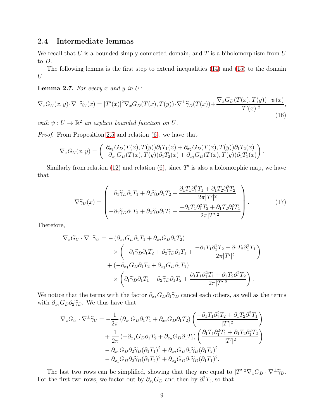### <span id="page-8-3"></span>2.4 Intermediate lemmas

We recall that  $U$  is a bounded simply connected domain, and  $T$  is a biholomorphism from  $U$ to D.

The following lemma is the first step to extend inequalities [\(14\)](#page-7-0) and [\(15\)](#page-7-1) to the domain U.

<span id="page-8-2"></span>**Lemma 2.7.** For every x and y in  $U$ :

<span id="page-8-0"></span>
$$
\nabla_x G_U(x, y) \cdot \nabla^\perp \widetilde{\gamma}_U(x) = |T'(x)|^2 \nabla_x G_D(T(x), T(y)) \cdot \nabla^\perp \widetilde{\gamma}_D(T(x)) + \frac{\nabla_x G_D(T(x), T(y)) \cdot \psi(x)}{|T'(x)|^2},\tag{16}
$$

with  $\psi: U \to \mathbb{R}^2$  an explicit bounded function on U.

Proof. From Proposition [2.5](#page-7-2) and relation [\(6\)](#page-5-1), we have that

$$
\nabla_x G_U(x,y) = \begin{pmatrix} \partial_{x_1} G_D(T(x),T(y))\partial_1 T_1(x) + \partial_{x_2} G_D(T(x),T(y))\partial_1 T_2(x) \\ -\partial_{x_1} G_D(T(x),T(y))\partial_1 T_2(x) + \partial_{x_2} G_D(T(x),T(y))\partial_1 T_1(x) \end{pmatrix}.
$$

Similarly from relation [\(12\)](#page-7-3) and relation  $(6)$ , since T' is also a holomorphic map, we have that

<span id="page-8-1"></span>
$$
\nabla \widetilde{\gamma}_U(x) = \begin{pmatrix} \partial_1 \widetilde{\gamma}_D \partial_1 T_1 + \partial_2 \widetilde{\gamma}_D \partial_1 T_2 + \frac{\partial_1 T_1 \partial_1^2 T_1 + \partial_1 T_2 \partial_1^2 T_2}{2\pi |T'|^2} \\ -\partial_1 \widetilde{\gamma}_D \partial_1 T_2 + \partial_2 \widetilde{\gamma}_D \partial_1 T_1 + \frac{-\partial_1 T_1 \partial_1^2 T_2 + \partial_1 T_2 \partial_1^2 T_1}{2\pi |T'|^2} \end{pmatrix} . \tag{17}
$$

Therefore,

$$
\nabla_x G_U \cdot \nabla^{\perp} \widetilde{\gamma}_U = -(\partial_{x_1} G_D \partial_1 T_1 + \partial_{x_2} G_D \partial_1 T_2) \times \left( -\partial_1 \widetilde{\gamma}_D \partial_1 T_2 + \partial_2 \widetilde{\gamma}_D \partial_1 T_1 + \frac{-\partial_1 T_1 \partial_1^2 T_2 + \partial_1 T_2 \partial_1^2 T_1}{2\pi |T'|^2} \right) \n+ (-\partial_{x_1} G_D \partial_1 T_2 + \partial_{x_2} G_D \partial_1 T_1) \times \left( \partial_1 \widetilde{\gamma}_D \partial_1 T_1 + \partial_2 \widetilde{\gamma}_D \partial_1 T_2 + \frac{\partial_1 T_1 \partial_1^2 T_1 + \partial_1 T_2 \partial_1^2 T_2}{2\pi |T'|^2} \right).
$$

We notice that the terms with the factor  $\partial_{x_1}G_D\partial_1\tilde{\gamma}_D$  cancel each others, as well as the terms with  $\partial_{x_2}G_D\partial_2\tilde{\gamma}_D$ . We thus have that

$$
\nabla_x G_U \cdot \nabla^{\perp} \widetilde{\gamma}_U = -\frac{1}{2\pi} \left( \partial_{x_1} G_D \partial_1 T_1 + \partial_{x_2} G_D \partial_1 T_2 \right) \left( \frac{-\partial_1 T_1 \partial_1^2 T_2 + \partial_1 T_2 \partial_1^2 T_1}{|T'|^2} \right) \n+ \frac{1}{2\pi} \left( -\partial_{x_1} G_D \partial_1 T_2 + \partial_{x_2} G_D \partial_1 T_1 \right) \left( \frac{\partial_1 T_1 \partial_1^2 T_1 + \partial_1 T_2 \partial_1^2 T_2}{|T'|^2} \right) \n- \partial_{x_1} G_D \partial_2 \widetilde{\gamma}_D (\partial_1 T_1)^2 + \partial_{x_2} G_D \partial_1 \widetilde{\gamma}_D (\partial_1 T_2)^2 \n- \partial_{x_1} G_D \partial_2 \widetilde{\gamma}_D (\partial_1 T_2)^2 + \partial_{x_2} G_D \partial_1 \widetilde{\gamma}_D (\partial_1 T_1)^2.
$$

The last two rows can be simplified, showing that they are equal to  $|T'|^2 \nabla_x G_D \cdot \nabla^{\perp} \tilde{\gamma}_D$ . For the first two rows, we factor out by  $\partial_{x_i} G_D$  and then by  $\partial_1^2 T_i$ , so that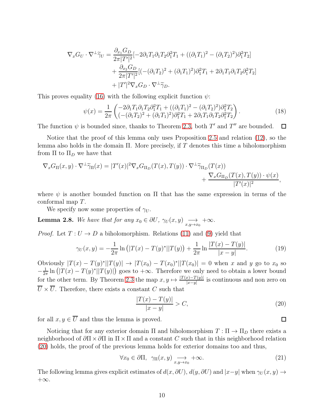$$
\nabla_x G_U \cdot \nabla^{\perp} \widetilde{\gamma}_U = \frac{\partial_{x_1} G_D}{2\pi |T'|^2} \left[ -2\partial_1 T_1 \partial_1 T_2 \partial_1^2 T_1 + \left( (\partial_1 T_1)^2 - (\partial_1 T_2)^2 \right) \partial_1^2 T_2 \right] + \frac{\partial_{x_2} G_D}{2\pi |T'|^2} \left[ \left( -(\partial_1 T_2)^2 + (\partial_1 T_1)^2 \right) \partial_1^2 T_1 + 2\partial_1 T_1 \partial_1 T_2 \partial_1^2 T_2 \right] + |T'|^2 \nabla_x G_D \cdot \nabla^{\perp} \widetilde{\gamma}_D.
$$

This proves equality [\(16\)](#page-8-0) with the following explicit function  $\psi$ :

<span id="page-9-2"></span>
$$
\psi(x) = \frac{1}{2\pi} \begin{pmatrix} -2\partial_1 T_1 \partial_1 T_2 \partial_1^2 T_1 + ((\partial_1 T_1)^2 - (\partial_1 T_2)^2) \partial_1^2 T_2 \\ ((-(\partial_1 T_2)^2 + (\partial_1 T_1)^2) \partial_1^2 T_1 + 2\partial_1 T_1 \partial_1 T_2 \partial_1^2 T_2 \end{pmatrix} . \tag{18}
$$

The function  $\psi$  is bounded since, thanks to Theorem [2.3,](#page-6-0) both T' and T'' are bounded.  $\Box$ 

Notice that the proof of this lemma only uses Proposition [2.5](#page-7-2) and relation [\(12\)](#page-7-3), so the lemma also holds in the domain  $\Pi$ . More precisely, if T denotes this time a biholomorphism from  $\Pi$  to  $\Pi_D$  we have that

$$
\nabla_x G_{\Pi}(x, y) \cdot \nabla^{\perp} \widetilde{\gamma}_{\Pi}(x) = |T'(x)|^2 \nabla_x G_{\Pi_D}(T(x), T(y)) \cdot \nabla^{\perp} \widetilde{\gamma}_{\Pi_D}(T(x)) \n+ \frac{\nabla_x G_{\Pi_D}(T(x), T(y)) \cdot \psi(x)}{|T'(x)|^2},
$$

where  $\psi$  is another bounded function on  $\Pi$  that has the same expression in terms of the conformal map T.

We specify now some properties of  $\gamma_U$ .

<span id="page-9-3"></span>**Lemma 2.8.** We have that for any  $x_0 \in \partial U$ ,  $\gamma_U(x, y) \longrightarrow_{x, y \to x_0} +\infty$ .

*Proof.* Let  $T: U \to D$  a biholomorphism. Relations [\(11\)](#page-7-4) and [\(9\)](#page-6-2) yield that

<span id="page-9-1"></span>
$$
\gamma_U(x,y) = -\frac{1}{2\pi} \ln \left( |T(x) - T(y)^*| |T(y) \right) + \frac{1}{2\pi} \ln \frac{|T(x) - T(y)|}{|x - y|}. \tag{19}
$$

Obviously  $|T(x) - T(y)^*||T(y)|$  →  $|T(x_0) - T(x_0)^*||T(x_0)| = 0$  when x and y go to  $x_0$  so  $-\frac{1}{2n}$  $\frac{1}{2\pi} \ln (|T(x) - T(y)^*||T(y)|)$  goes to  $+\infty$ . Therefore we only need to obtain a lower bound for the other term. By Theorem [2.3](#page-6-0) the map  $x, y \mapsto \frac{|T(x) - T(y)|}{|x-y|}$  is continuous and non zero on  $\overline{U} \times \overline{U}$ . Therefore, there exists a constant C such that

<span id="page-9-0"></span>
$$
\frac{|T(x) - T(y)|}{|x - y|} > C,
$$
\n(20)

for all  $x, y \in \overline{U}$  and thus the lemma is proved.

Noticing that for any exterior domain  $\Pi$  and biholomorphism  $T : \Pi \to \Pi_D$  there exists a neighborhood of  $\partial \Pi \times \partial \Pi$  in  $\Pi \times \Pi$  and a constant C such that in this neighborhood relation [\(20\)](#page-9-0) holds, the proof of the previous lemma holds for exterior domains too and thus,

<span id="page-9-4"></span>
$$
\forall x_0 \in \partial \Pi, \ \gamma_{\Pi}(x, y) \underset{x, y \to x_0}{\longrightarrow} +\infty. \tag{21}
$$

The following lemma gives explicit estimates of  $d(x, \partial U)$ ,  $d(y, \partial U)$  and  $|x-y|$  when  $\gamma_U(x, y) \to$  $+\infty$ .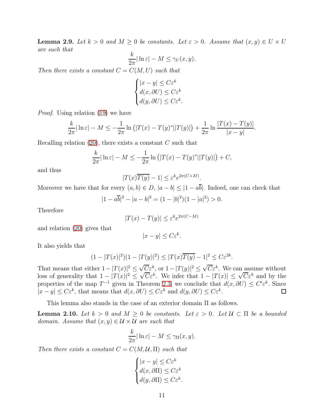<span id="page-10-0"></span>**Lemma 2.9.** Let  $k > 0$  and  $M \ge 0$  be constants. Let  $\varepsilon > 0$ . Assume that  $(x, y) \in U \times U$ are such that

$$
\frac{k}{2\pi}|\ln \varepsilon| - M \le \gamma_U(x, y).
$$

Then there exists a constant  $C = C(M, U)$  such that

$$
\begin{cases} |x - y| \le C\varepsilon^k\\ d(x, \partial U) \le C\varepsilon^k\\ d(y, \partial U) \le C\varepsilon^k. \end{cases}
$$

Proof. Using relation [\(19\)](#page-9-1) we have

$$
\frac{k}{2\pi}|\ln \varepsilon| - M \le -\frac{1}{2\pi} \ln (|T(x) - T(y)^*||T(y)|) + \frac{1}{2\pi} \ln \frac{|T(x) - T(y)|}{|x - y|}
$$

.

Recalling relation  $(20)$ , there exists a constant C such that

$$
\frac{k}{2\pi}|\ln \varepsilon| - M \leq -\frac{1}{2\pi} \ln (|T(x) - T(y)^*||T(y)|) + C,
$$

and thus

$$
|T(x)\overline{T(y)} - 1| \le \varepsilon^k e^{2\pi(C+M)}.
$$

Moreover we have that for every  $(a, b) \in D$ ,  $|a - b| \leq |1 - a\overline{b}|$ . Indeed, one can check that

$$
|1 - a\overline{b}|^2 - |a - b|^2 = (1 - |b|^2)(1 - |a|^2) > 0.
$$

Therefore

$$
|T(x) - T(y)| \le \varepsilon^k e^{2\pi(C - M)}
$$

and relation [\(20\)](#page-9-0) gives that

$$
|x - y| \le C\varepsilon^k.
$$

It also yields that

$$
(1 - |T(x)|^2)(1 - |T(y)|^2) \le |T(x)\overline{T(y)} - 1|^2 \le C\varepsilon^{2k}.
$$

That means that either  $1-|T(x)|^2 \leq \sqrt{C}\varepsilon^k$ , or  $1-|T(y)|^2 \leq \sqrt{C}\varepsilon^k$ . We can assume without loss of generality that  $1 - |T(x)|^2 \le \sqrt{C} \varepsilon^k$ . We infer that  $1 - |T(x)| \le \sqrt{C} \varepsilon^k$  and by the properties of the map  $T^{-1}$  given in Theorem [2.3,](#page-6-0) we conclude that  $d(x, \partial U) \leq C' \varepsilon^k$ . Since  $|x - y| \leq C\varepsilon^k$ , that means that  $d(x, \partial U) \leq C\varepsilon^k$  and  $d(y, \partial U) \leq C\varepsilon^k$ .  $\Box$ 

This lemma also stands in the case of an exterior domain Π as follows.

<span id="page-10-1"></span>**Lemma 2.10.** Let  $k > 0$  and  $M \ge 0$  be constants. Let  $\varepsilon > 0$ . Let  $\mathcal{U} \subset \Pi$  be a bounded domain. Assume that  $(x, y) \in \mathcal{U} \times \mathcal{U}$  are such that

$$
\frac{k}{2\pi}|\ln \varepsilon| - M \le \gamma_{\Pi}(x, y).
$$

Then there exists a constant  $C = C(M, \mathcal{U}, \Pi)$  such that

$$
\begin{cases} |x-y|\leq C\varepsilon^k\\ d(x,\partial\Pi)\leq C\varepsilon^k\\ d(y,\partial\Pi)\leq C\varepsilon^k.\end{cases}
$$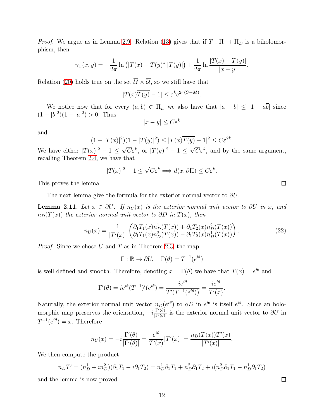*Proof.* We argue as in Lemma [2.9.](#page-10-0) Relation [\(13\)](#page-7-5) gives that if  $T : \Pi \to \Pi_D$  is a biholomorphism, then

$$
\gamma_{\Pi}(x,y) = -\frac{1}{2\pi} \ln (|T(x) - T(y)^*||T(y)|) + \frac{1}{2\pi} \ln \frac{|T(x) - T(y)|}{|x - y|}.
$$

Relation [\(20\)](#page-9-0) holds true on the set  $\overline{\mathcal{U}} \times \overline{\mathcal{U}}$ , so we still have that

$$
|T(x)\overline{T(y)} - 1| \le \varepsilon^k e^{2\pi(C+M)}.
$$

We notice now that for every  $(a, b) \in \Pi_D$  we also have that  $|a - b| \leq |1 - a\overline{b}|$  since  $(1-|b|^2)(1-|a|^2) > 0$ . Thus

$$
|x - y| \le C\varepsilon^k
$$

and

$$
(1-|T(x)|^2)(1-|T(y)|^2) \le |T(x)\overline{T(y)}-1|^2 \le C\varepsilon^{2k}.
$$

We have either  $|T(x)|^2 - 1 \leq \sqrt{C} \varepsilon^k$ , or  $|T(y)|^2 - 1 \leq \sqrt{C} \varepsilon^k$ , and by the same argument, recalling Theorem [2.4,](#page-6-1) we have that

$$
|T(x)|^2 - 1 \le \sqrt{C} \varepsilon^k \Longrightarrow d(x, \partial \Pi) \le C\varepsilon^k.
$$

This proves the lemma.

The next lemma give the formula for the exterior normal vector to  $\partial U$ .

<span id="page-11-1"></span>**Lemma 2.11.** Let  $x \in \partial U$ . If  $n_U(x)$  is the exterior normal unit vector to  $\partial U$  in x, and  $n_D(T(x))$  the exterior normal unit vector to ∂D in  $T(x)$ , then

<span id="page-11-0"></span>
$$
n_U(x) = \frac{1}{|T'(x)|} \begin{pmatrix} \partial_1 T_1(x) n_D^1(T(x)) + \partial_1 T_2(x) n_D^2(T(x)) \\ \partial_1 T_1(x) n_D^2(T(x)) - \partial_1 T_2(x) n_D^1(T(x)) \end{pmatrix}.
$$
 (22)

.

*Proof.* Since we chose U and T as in Theorem [2.3,](#page-6-0) the map:

$$
\Gamma : \mathbb{R} \to \partial U, \quad \Gamma(\theta) = T^{-1}(e^{i\theta})
$$

is well defined and smooth. Therefore, denoting  $x = \Gamma(\theta)$  we have that  $T(x) = e^{i\theta}$  and

$$
\Gamma'(\theta) = ie^{i\theta}(T^{-1})'(e^{i\theta}) = \frac{ie^{i\theta}}{T'(T^{-1}(e^{i\theta}))} = \frac{ie^{i\theta}}{T'(x)}
$$

Naturally, the exterior normal unit vector  $n_D(e^{i\theta})$  to  $\partial D$  in  $e^{i\theta}$  is itself  $e^{i\theta}$ . Since an holomorphic map preserves the orientation,  $-i\frac{\Gamma(\theta)}{|\Gamma(\theta)|}$  is the exterior normal unit vector to  $\partial U$  in  $T^{-1}(e^{i\theta})=x.$  Therefore

$$
n_U(x) = -i \frac{\Gamma'(\theta)}{|\Gamma'(\theta)|} = \frac{e^{i\theta}}{T'(x)}|T'(x)| = \frac{n_D(T(x))\overline{T'(x)}}{|T'(x)|}.
$$

We then compute the product

$$
n_D \overline{T'} = (n_D^1 + in_D^2)(\partial_1 T_1 - i \partial_1 T_2) = n_D^1 \partial_1 T_1 + n_D^2 \partial_1 T_2 + i(n_D^2 \partial_1 T_1 - n_D^1 \partial_1 T_2)
$$

and the lemma is now proved.

 $\Box$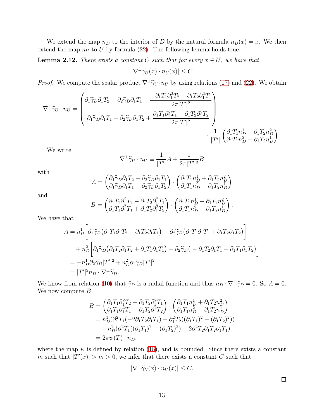We extend the map  $n_D$  to the interior of D by the natural formula  $n_D(x) = x$ . We then extend the map  $n_U$  to U by formula [\(22\)](#page-11-0). The following lemma holds true.

<span id="page-12-0"></span>**Lemma 2.12.** There exists a constant C such that for every  $x \in U$ , we have that

$$
|\nabla^{\perp}\widetilde{\gamma}_U(x)\cdot n_U(x)|\leq C
$$

*Proof.* We compute the scalar product  $\nabla^{\perp}\tilde{\gamma}_U\cdot n_U$  by using relations [\(17\)](#page-8-1) and [\(22\)](#page-11-0). We obtain

$$
\nabla^{\perp}\tilde{\gamma}_U\cdot n_U=\begin{pmatrix} \partial_1\tilde{\gamma}_D\partial_1T_2-\partial_2\tilde{\gamma}_D\partial_1T_1+\frac{+\partial_1T_1\partial_1^2T_2-\partial_1T_2\partial_1^2T_1}{2\pi|T'|^2}\\ \\ \partial_1\tilde{\gamma}_D\partial_1T_1+\partial_2\tilde{\gamma}_D\partial_1T_2+\frac{\partial_1T_1\partial_1^2T_1+\partial_1T_2\partial_1^2T_2}{2\pi|T'|^2}\\ &\cdot\frac{1}{|T'|}\begin{pmatrix} \partial_1T_1n_D^1+\partial_1T_2n_D^2\\ \partial_1T_1n_D^2-\partial_1T_2n_D^1 \end{pmatrix}.\end{pmatrix}
$$

We write

$$
\nabla^{\perp} \widetilde{\gamma}_U \cdot n_U \equiv \frac{1}{|T'|} A + \frac{1}{2\pi |T'|^3} B
$$

with

$$
A = \begin{pmatrix} \partial_1 \widetilde{\gamma}_D \partial_1 T_2 - \partial_2 \widetilde{\gamma}_D \partial_1 T_1 \\ \partial_1 \widetilde{\gamma}_D \partial_1 T_1 + \partial_2 \widetilde{\gamma}_D \partial_1 T_2 \end{pmatrix} \cdot \begin{pmatrix} \partial_1 T_1 n_D^1 + \partial_1 T_2 n_D^2 \\ \partial_1 T_1 n_D^2 - \partial_1 T_2 n_D^1 \end{pmatrix}
$$

and

$$
B = \begin{pmatrix} \partial_1 T_1 \partial_1^2 T_2 - \partial_1 T_2 \partial_1^2 T_1 \\ \partial_1 T_1 \partial_1^2 T_1 + \partial_1 T_2 \partial_1^2 T_2 \end{pmatrix} \cdot \begin{pmatrix} \partial_1 T_1 n_D^1 + \partial_1 T_2 n_D^2 \\ \partial_1 T_1 n_D^2 - \partial_1 T_2 n_D^1 \end{pmatrix}
$$

.

We have that

$$
A = n_D^1 \left[ \partial_1 \tilde{\gamma}_D \left( \partial_1 T_1 \partial_1 T_2 - \partial_1 T_2 \partial_1 T_1 \right) - \partial_2 \tilde{\gamma}_D \left( \partial_1 T_1 \partial_1 T_1 + \partial_1 T_2 \partial_1 T_2 \right) \right]
$$
  
+ 
$$
n_D^2 \left[ \partial_1 \tilde{\gamma}_D \left( \partial_1 T_2 \partial_1 T_2 + \partial_1 T_1 \partial_1 T_1 \right) + \partial_2 \tilde{\gamma}_D \left( -\partial_1 T_2 \partial_1 T_1 + \partial_1 T_1 \partial_1 T_2 \right) \right]
$$
  
= 
$$
-n_D^1 \partial_2 \tilde{\gamma}_D |T'|^2 + n_D^2 \partial_1 \tilde{\gamma}_D |T'|^2
$$
  
= 
$$
|T'|^2 n_D \cdot \nabla^{\perp} \tilde{\gamma}_D.
$$

We know from relation [\(10\)](#page-7-6) that  $\tilde{\gamma}_D$  is a radial function and thus  $n_D \cdot \nabla^{\perp} \tilde{\gamma}_D = 0$ . So  $A = 0$ . We now compute  $B$ .

$$
B = \begin{pmatrix} \partial_1 T_1 \partial_1^2 T_2 - \partial_1 T_2 \partial_1^2 T_1 \\ \partial_1 T_1 \partial_1^2 T_1 + \partial_1 T_2 \partial_1^2 T_2 \end{pmatrix} \cdot \begin{pmatrix} \partial_1 T_1 n_D^1 + \partial_1 T_2 n_D^2 \\ \partial_1 T_1 n_D^2 - \partial_1 T_2 n_D^1 \end{pmatrix}
$$
  
=  $n_D^1 (\partial_1^2 T_1 (-2\partial_1 T_2 \partial_1 T_1) + \partial_1^2 T_2 ((\partial_1 T_1)^2 - (\partial_1 T_2)^2))$   
+  $n_D^2 (\partial_1^2 T_1 ((\partial_1 T_1)^2 - (\partial_1 T_2)^2) + 2\partial_1^2 T_2 \partial_1 T_2 \partial_1 T_1)$   
=  $2\pi \psi(T) \cdot n_D$ ,

where the map  $\psi$  is defined by relation [\(18\)](#page-9-2), and is bounded. Since there exists a constant m such that  $|T'(x)| > m > 0$ , we infer that there exists a constant C such that

$$
|\nabla^{\perp} \widetilde{\gamma}_U(x) \cdot n_U(x)| \le C.
$$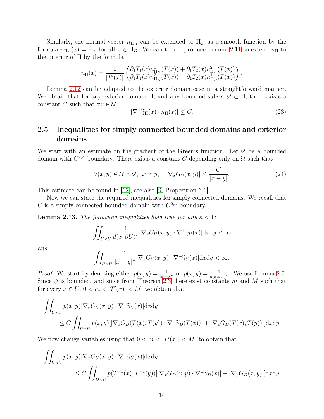Similarly, the normal vector  $n_{\Pi_D}$  can be extended to  $\Pi_D$  as a smooth function by the formula  $n_{\Pi_D}(x) = -x$  for all  $x \in \Pi_D$ . We can then reproduce Lemma [2.11](#page-11-1) to extend  $n_{\Pi}$  to the interior of Π by the formula

$$
n_{\Pi}(x) = \frac{1}{|T'(x)|} \begin{pmatrix} \partial_1 T_1(x) n_{\Pi_D}^1(T(x)) + \partial_1 T_2(x) n_{\Pi_D}^2(T(x)) \\ \partial_1 T_1(x) n_{\Pi_D}^2(T(x)) - \partial_1 T_2(x) n_{\Pi_D}^1(T(x)) \end{pmatrix}.
$$

Lemma [2.12](#page-12-0) can be adapted to the exterior domain case in a straightforward manner. We obtain that for any exterior domain  $\Pi$ , and any bounded subset  $\mathcal{U} \subset \Pi$ , there exists a constant C such that  $\forall x \in \mathcal{U}$ ,

<span id="page-13-2"></span>
$$
|\nabla^{\perp}\widetilde{\gamma}_{\Pi}(x)\cdot n_{\Pi}(x)| \leq C. \tag{23}
$$

### 2.5 Inequalities for simply connected bounded domains and exterior domains

We start with an estimate on the gradient of the Green's function. Let  $\mathcal U$  be a bounded domain with  $C^{2,\alpha}$  boundary. There exists a constant C depending only on U such that

<span id="page-13-0"></span>
$$
\forall (x, y) \in \mathcal{U} \times \mathcal{U}, \ x \neq y, \quad |\nabla_x G_{\mathcal{U}}(x, y)| \leq \frac{C}{|x - y|}.\tag{24}
$$

This estimate can be found in [\[12\]](#page-35-11), see also [\[9,](#page-35-12) Proposition 6.1].

Now we can state the required inequalities for simply connected domains. We recall that U is a simply connected bounded domain with  $C^{2,\alpha}$  boundary.

<span id="page-13-1"></span>**Lemma 2.13.** The following inequalities hold true for any  $\kappa < 1$ :

$$
\iint_{U\times U} \frac{1}{d(x,\partial U)^{\kappa}} |\nabla_x G_U(x,y) \cdot \nabla^{\perp} \widetilde{\gamma}_U(x)| \mathrm{d}x \mathrm{d}y < \infty
$$

and

$$
\iint_{U\times U} \frac{1}{|x-y|^{\kappa}} |\nabla_x G_U(x,y) \cdot \nabla^{\perp} \widetilde{\gamma}_U(x)| \mathrm{d}x \mathrm{d}y < \infty.
$$

*Proof.* We start by denoting either  $p(x, y) = \frac{1}{|x-y|^{\kappa}}$  or  $p(x, y) = \frac{1}{d(x, \partial U)^{\kappa}}$ . We use Lemma [2.7.](#page-8-2) Since  $\psi$  is bounded, and since from Theorem [2.3](#page-6-0) there exist constants m and M such that for every  $x \in U$ ,  $0 < m < |T'(x)| < M$ , we obtain that

$$
\iint_{U\times U} p(x,y) |\nabla_x G_U(x,y) \cdot \nabla^{\perp} \widetilde{\gamma}_U(x)| \, dx \, dy
$$
\n
$$
\leq C \iint_{U\times U} p(x,y) [|\nabla_x G_D(T(x),T(y)) \cdot \nabla^{\perp} \widetilde{\gamma}_D(T(x))| + |\nabla_x G_D(T(x),T(y))|] \, dx \, dy.
$$

We now change variables using that  $0 < m < |T'(x)| < M$ , to obtain that

$$
\iint_{U\times U} p(x,y) |\nabla_x G_U(x,y) \cdot \nabla^{\perp} \tilde{\gamma}_U(x)| dxdy
$$
\n
$$
\leq C \iint_{D\times D} p(T^{-1}(x), T^{-1}(y)) [|\nabla_x G_D(x,y) \cdot \nabla^{\perp} \tilde{\gamma}_D(x)| + |\nabla_x G_D(x,y)|] dxdy.
$$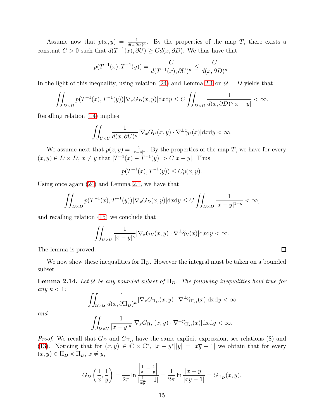Assume now that  $p(x, y) = \frac{1}{d(x, \partial U)^k}$ . By the properties of the map T, there exists a constant  $C > 0$  such that  $d(T^{-1}(x), \partial U) \geq C d(x, \partial D)$ . We thus have that

$$
p(T^{-1}(x), T^{-1}(y)) = \frac{C}{d(T^{-1}(x), \partial U)^{\kappa}} \le \frac{C}{d(x, \partial D)^{\kappa}}.
$$

In the light of this inequality, using relation [\(24\)](#page-13-0) and Lemma [2.1](#page-5-2) on  $\mathcal{U} = D$  yields that

$$
\iint_{D\times D} p(T^{-1}(x), T^{-1}(y)) |\nabla_x G_D(x, y)| \mathrm{d}x \mathrm{d}y \le C \iint_{D\times D} \frac{1}{d(x, \partial D)^{\kappa} |x - y|} < \infty.
$$

Recalling relation [\(14\)](#page-7-0) implies

$$
\iint_{U\times U} \frac{1}{d(x,\partial U)^{\kappa}} |\nabla_x G_U(x,y) \cdot \nabla^{\perp} \widetilde{\gamma}_U(x)| \mathrm{d}x \mathrm{d}y < \infty.
$$

We assume next that  $p(x, y) = \frac{1}{|x-y|^{\kappa}}$ . By the properties of the map T, we have for every  $(x, y) \in D \times D$ ,  $x \neq y$  that  $|T^{-1}(x) - T^{-1}(y)| > C|x - y|$ . Thus

$$
p(T^{-1}(x), T^{-1}(y)) \le Cp(x, y).
$$

Using once again [\(24\)](#page-13-0) and Lemma [2.1,](#page-5-2) we have that

$$
\iint_{D\times D} p(T^{-1}(x), T^{-1}(y)) |\nabla_x G_D(x, y)| \mathrm{d}x \mathrm{d}y \le C \iint_{D\times D} \frac{1}{|x - y|^{1+\kappa}} < \infty,
$$

and recalling relation [\(15\)](#page-7-1) we conclude that

$$
\iint_{U\times U} \frac{1}{|x-y|^{\kappa}} |\nabla_x G_U(x,y) \cdot \nabla^{\perp} \widetilde{\gamma}_U(x)| \mathrm{d}x \mathrm{d}y < \infty.
$$

The lemma is proved.

We now show these inequalities for  $\Pi_D$ . However the integral must be taken on a bounded subset.

<span id="page-14-0"></span>**Lemma 2.14.** Let U be any bounded subset of  $\Pi_D$ . The following inequalities hold true for any  $\kappa < 1$ :

$$
\iint_{\mathcal{U}\times\mathcal{U}}\frac{1}{d(x,\partial\Pi_D)^{\kappa}}|\nabla_xG_{\Pi_D}(x,y)\cdot\nabla^{\perp}\widetilde{\gamma}_{\Pi_D}(x)|\mathrm{d}x\mathrm{d}y<\infty
$$

and

$$
\iint_{\mathcal{U}\times\mathcal{U}}\frac{1}{|x-y|^{\kappa}}|\nabla_{x}G_{\Pi_{D}}(x,y)\cdot\nabla^{\perp}\widetilde{\gamma}_{\Pi_{D}}(x)|\mathrm{d}x\mathrm{d}y<\infty.
$$

*Proof.* We recall that  $G_D$  and  $G_{\Pi_D}$  have the same explicit expression, see relations [\(8\)](#page-6-3) and [\(13\)](#page-7-5). Noticing that for  $(x, y) \in \mathbb{C} \times \mathbb{C}^*$ ,  $|x - y^*||y| = |x\overline{y} - 1|$  we obtain that for every  $(x, y) \in \Pi_D \times \Pi_D, x \neq y,$ 

$$
G_D\left(\frac{1}{x},\frac{1}{y}\right) = \frac{1}{2\pi} \ln \frac{\left|\frac{1}{x} - \frac{1}{y}\right|}{\left|\frac{1}{x\overline{y}} - 1\right|} = \frac{1}{2\pi} \ln \frac{|x - y|}{|x\overline{y} - 1|} = G_{\Pi_D}(x, y).
$$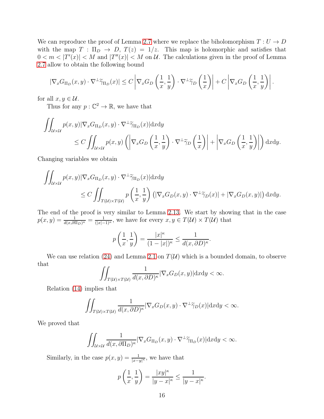We can reproduce the proof of Lemma [2.7](#page-8-2) where we replace the biholomorphism  $T: U \to D$ with the map  $T : \Pi_D \to D$ ,  $T(z) = 1/z$ . This map is holomorphic and satisfies that  $0 < m < |T'(x)| < M$  and  $|T''(x)| < M$  on U. The calculations given in the proof of Lemma [2.7](#page-8-2) allow to obtain the following bound

$$
|\nabla_x G_{\Pi_D}(x,y)\cdot\nabla^{\perp}\widetilde{\gamma}_{\Pi_D}(x)|\leq C\left|\nabla_x G_D\left(\frac{1}{x},\frac{1}{y}\right)\cdot\nabla^{\perp}\widetilde{\gamma}_D\left(\frac{1}{x}\right)\right|+C\left|\nabla_x G_D\left(\frac{1}{x},\frac{1}{y}\right)\right|.
$$

for all  $x, y \in \mathcal{U}$ .

Thus for any  $p: \mathbb{C}^2 \to \mathbb{R}$ , we have that

$$
\iint_{\mathcal{U}\times\mathcal{U}} p(x,y) |\nabla_x G_{\Pi_D}(x,y) \cdot \nabla^{\perp} \tilde{\gamma}_{\Pi_D}(x)| dxdy
$$
\n
$$
\leq C \iint_{\mathcal{U}\times\mathcal{U}} p(x,y) \left( \left| \nabla_x G_D\left(\frac{1}{x}, \frac{1}{y}\right) \cdot \nabla^{\perp} \tilde{\gamma}_D\left(\frac{1}{x}\right) \right| + \left| \nabla_x G_D\left(\frac{1}{x}, \frac{1}{y}\right) \right| \right) dxdy.
$$

Changing variables we obtain

$$
\iint_{\mathcal{U}\times\mathcal{U}} p(x,y) |\nabla_x G_{\Pi_D}(x,y) \cdot \nabla^{\perp} \widetilde{\gamma}_{\Pi_D}(x)| \, dx dy
$$
\n
$$
\leq C \iint_{T(\mathcal{U})\times T(\mathcal{U})} p\left(\frac{1}{x}, \frac{1}{y}\right) \left( |\nabla_x G_D(x,y) \cdot \nabla^{\perp} \widetilde{\gamma}_D(x)| + |\nabla_x G_D(x,y)| \right) dx dy.
$$

The end of the proof is very similar to Lemma [2.13.](#page-13-1) We start by showing that in the case  $p(x, y) = \frac{1}{d(x, \partial \Pi_D)^{\kappa}} = \frac{1}{(|x|-1)^{\kappa}}$ , we have for every  $x, y \in T(\mathcal{U}) \times T(\mathcal{U})$  that

$$
p\left(\frac{1}{x},\frac{1}{y}\right) = \frac{|x|^{\kappa}}{(1-|x|)^{\kappa}} \le \frac{1}{d(x,\partial D)^{\kappa}}.
$$

We can use relation [\(24\)](#page-13-0) and Lemma [2.1](#page-5-2) on  $T(\mathcal{U})$  which is a bounded domain, to observe that

$$
\iint_{T(u)\times T(u)}\frac{1}{d(x,\partial D)^{\kappa}}|\nabla_xG_D(x,y)|dxdy < \infty.
$$

Relation [\(14\)](#page-7-0) implies that

$$
\iint_{T(\mathcal{U}) \times T(\mathcal{U})} \frac{1}{d(x, \partial D)^{\kappa}} |\nabla_x G_D(x, y) \cdot \nabla^{\perp} \widetilde{\gamma}_D(x)| \mathrm{d}x \mathrm{d}y < \infty.
$$

We proved that

$$
\iint_{\mathcal{U}\times\mathcal{U}}\frac{1}{d(x,\partial\Pi_D)^{\kappa}}|\nabla_xG_{\Pi_D}(x,y)\cdot\nabla^{\perp}\widetilde{\gamma}_{\Pi_D}(x)|\mathrm{d}x\mathrm{d}y<\infty.
$$

Similarly, in the case  $p(x, y) = \frac{1}{|x-y|^{\kappa}}$ , we have that

$$
p\left(\frac{1}{x},\frac{1}{y}\right) = \frac{|xy|^{\kappa}}{|y-x|^{\kappa}} \le \frac{1}{|y-x|^{\kappa}}.
$$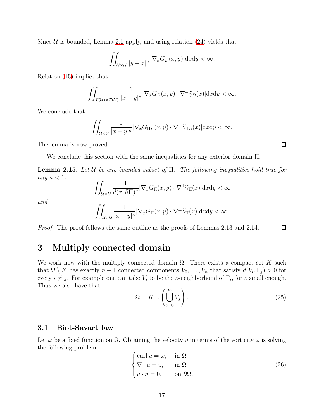Since  $U$  is bounded, Lemma [2.1](#page-5-2) apply, and using relation [\(24\)](#page-13-0) yields that

$$
\iint_{\mathcal{U}\times\mathcal{U}}\frac{1}{|y-x|^{\kappa}}|\nabla_xG_D(x,y)|\mathrm{d}x\mathrm{d}y < \infty.
$$

Relation [\(15\)](#page-7-1) implies that

$$
\iint_{T(\mathcal{U}) \times T(\mathcal{U})} \frac{1}{|x - y|^{\kappa}} |\nabla_x G_D(x, y) \cdot \nabla^{\perp} \widetilde{\gamma}_D(x)| \mathrm{d}x \mathrm{d}y < \infty.
$$

We conclude that

$$
\iint_{\mathcal{U}\times\mathcal{U}}\frac{1}{|x-y|^{\kappa}}|\nabla_xG_{\Pi_D}(x,y)\cdot\nabla^{\perp}\widetilde{\gamma}_{\Pi_D}(x)|\mathrm{d}x\mathrm{d}y<\infty.
$$

The lemma is now proved.

We conclude this section with the same inequalities for any exterior domain Π.

<span id="page-16-3"></span>**Lemma 2.15.** Let U be any bounded subset of  $\Pi$ . The following inequalities hold true for any  $\kappa < 1$ :

$$
\iint_{\mathcal{U}\times\mathcal{U}}\frac{1}{d(x,\partial\Pi)^{\kappa}}|\nabla_xG_{\Pi}(x,y)\cdot\nabla^{\perp}\widetilde{\gamma}_{\Pi}(x)|\mathrm{d}x\mathrm{d}y<\infty
$$

and

$$
\iint_{\mathcal{U}\times\mathcal{U}}\frac{1}{|x-y|^{\kappa}}|\nabla_xG_{\Pi}(x,y)\cdot\nabla^{\perp}\widetilde{\gamma}_{\Pi}(x)|\mathrm{d}x\mathrm{d}y<\infty.
$$

<span id="page-16-0"></span>Proof. The proof follows the same outline as the proofs of Lemmas [2.13](#page-13-1) and [2.14.](#page-14-0)  $\Box$ 

# 3 Multiply connected domain

We work now with the multiply connected domain  $\Omega$ . There exists a compact set K such that  $\Omega \setminus K$  has exactly  $n+1$  connected components  $V_0, \ldots, V_n$  that satisfy  $d(V_i, \Gamma_j) > 0$  for every  $i \neq j$ . For example one can take  $V_i$  to be the  $\varepsilon$ -neighborhood of  $\Gamma_i$ , for  $\varepsilon$  small enough. Thus we also have that

<span id="page-16-1"></span>
$$
\Omega = K \cup \left( \bigcup_{j=0}^{m} V_j \right). \tag{25}
$$

#### 3.1 Biot-Savart law

Let  $\omega$  be a fixed function on  $\Omega$ . Obtaining the velocity u in terms of the vorticity  $\omega$  is solving the following problem

<span id="page-16-2"></span>
$$
\begin{cases}\n\text{curl } u = \omega, & \text{in } \Omega \\
\nabla \cdot u = 0, & \text{in } \Omega \\
u \cdot n = 0, & \text{on } \partial\Omega.\n\end{cases}
$$
\n(26)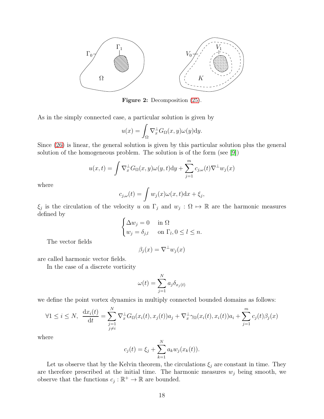<span id="page-17-0"></span>

Figure 2: Decomposition [\(25\)](#page-16-1).

As in the simply connected case, a particular solution is given by

$$
u(x) = \int_{\Omega} \nabla_x^{\perp} G_{\Omega}(x, y) \omega(y) \mathrm{d}y.
$$

Since [\(26\)](#page-16-2) is linear, the general solution is given by this particular solution plus the general solution of the homogeneous problem. The solution is of the form (see [\[9\]](#page-35-12))

$$
u(x,t) = \int \nabla_x^{\perp} G_{\Omega}(x,y)\omega(y,t)dy + \sum_{j=1}^m c_{j,\omega}(t)\nabla^{\perp}w_j(x)
$$

where

$$
c_{j,\omega}(t) = \int w_j(x)\omega(x,t)dx + \xi_j,
$$

 $\xi_j$  is the circulation of the velocity u on  $\Gamma_j$  and  $w_j : \Omega \mapsto \mathbb{R}$  are the harmonic measures defined by

$$
\begin{cases} \Delta w_j = 0 & \text{in } \Omega \\ w_j = \delta_{j,l} & \text{on } \Gamma_l, 0 \le l \le n. \end{cases}
$$

The vector fields

$$
\beta_j(x) = \nabla^{\perp} w_j(x)
$$

are called harmonic vector fields.

In the case of a discrete vorticity

$$
\omega(t) = \sum_{j=1}^{N} a_j \delta_{x_j(t)}
$$

we define the point vortex dynamics in multiply connected bounded domains as follows:

$$
\forall 1 \leq i \leq N, \quad \frac{\mathrm{d}x_i(t)}{\mathrm{d}t} = \sum_{\substack{j=1 \ j \neq i}}^N \nabla_x^{\perp} G_{\Omega}(x_i(t), x_j(t)) a_j + \nabla_x^{\perp} \gamma_{\Omega}(x_i(t), x_i(t)) a_i + \sum_{j=1}^m c_j(t) \beta_j(x)
$$

where

$$
c_j(t) = \xi_j + \sum_{k=1}^{N} a_k w_j(x_k(t)).
$$

Let us observe that by the Kelvin theorem, the circulations  $\xi_j$  are constant in time. They are therefore prescribed at the initial time. The harmonic measures  $w_j$  being smooth, we observe that the functions  $c_j : \mathbb{R}^+ \to \mathbb{R}$  are bounded.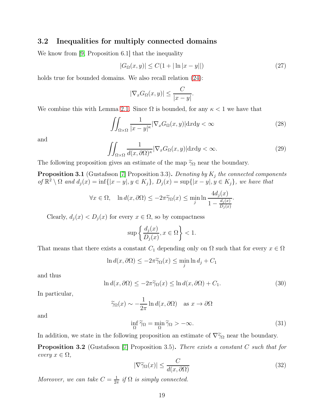#### 3.2 Inequalities for multiply connected domains

We know from [\[9,](#page-35-12) Proposition 6.1] that the inequality

<span id="page-18-6"></span>
$$
|G_{\Omega}(x,y)| \le C(1 + |\ln|x - y||)
$$
\n(27)

holds true for bounded domains. We also recall relation  $(24)$ :

$$
|\nabla_x G_{\Omega}(x,y)| \leq \frac{C}{|x-y|}.
$$

We combine this with Lemma [2.1.](#page-5-2) Since  $\Omega$  is bounded, for any  $\kappa < 1$  we have that

<span id="page-18-1"></span>
$$
\iint_{\Omega \times \Omega} \frac{1}{|x - y|^{\kappa}} |\nabla_x G_{\Omega}(x, y)| \, dxdy < \infty \tag{28}
$$

and

<span id="page-18-2"></span>
$$
\iint_{\Omega \times \Omega} \frac{1}{d(x, \partial \Omega)^{\kappa}} |\nabla_x G_{\Omega}(x, y)| \, dx \, dy < \infty. \tag{29}
$$

The following proposition gives an estimate of the map  $\widetilde{\gamma}_{\Omega}$  near the boundary.

<span id="page-18-3"></span>**Proposition 3.1** (Gustafsson [\[7\]](#page-35-1) Proposition 3.3). Denoting by  $K_j$  the connected components of  $\mathbb{R}^2 \setminus \Omega$  and  $d_j(x) = \inf\{|x - y|, y \in K_j\}, D_j(x) = \sup\{|x - y|, y \in K_j\},\$ we have that

$$
\forall x \in \Omega, \quad \ln d(x, \partial \Omega) \le -2\pi \widetilde{\gamma}_{\Omega}(x) \le \min_j \ln \frac{4d_j(x)}{1 - \frac{d_j(x)}{D_j(x)}}.
$$

Clearly,  $d_j(x) < D_j(x)$  for every  $x \in \Omega$ , so by compactness

$$
\sup \left\{ \frac{d_j(x)}{D_j(x)}, x \in \Omega \right\} < 1.
$$

That means that there exists a constant  $C_1$  depending only on  $\Omega$  such that for every  $x \in \Omega$ 

$$
\ln d(x, \partial \Omega) \le -2\pi \widetilde{\gamma}_{\Omega}(x) \le \min_j \ln d_j + C_1
$$

and thus

<span id="page-18-4"></span>
$$
\ln d(x, \partial \Omega) \le -2\pi \tilde{\gamma}_{\Omega}(x) \le \ln d(x, \partial \Omega) + C_1. \tag{30}
$$

In particular,

$$
\widetilde{\gamma}_{\Omega}(x) \sim -\frac{1}{2\pi} \ln d(x, \partial \Omega)
$$
 as  $x \to \partial \Omega$ 

and

<span id="page-18-5"></span>
$$
\inf_{\Omega} \widetilde{\gamma}_{\Omega} = \min_{\Omega} \widetilde{\gamma}_{\Omega} > -\infty.
$$
\n(31)

In addition, we state in the following proposition an estimate of  $\nabla \tilde{\gamma}_{\Omega}$  near the boundary.

Proposition 3.2 (Gustafsson [\[7\]](#page-35-1) Proposition 3.5). There exists a constant C such that for every  $x \in \Omega$ ,

<span id="page-18-0"></span>
$$
|\nabla \widetilde{\gamma}_{\Omega}(x)| \le \frac{C}{d(x, \partial \Omega)}\tag{32}
$$

Moreover, we can take  $C = \frac{1}{2i}$  $\frac{1}{2\pi}$  if  $\Omega$  is simply connected.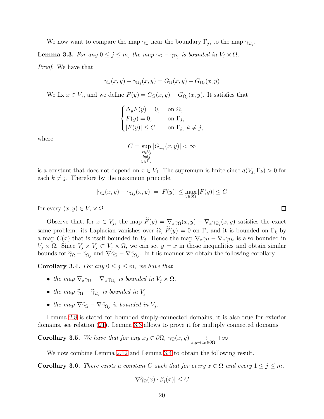We now want to compare the map  $\gamma_{\Omega}$  near the boundary  $\Gamma_j$ , to the map  $\gamma_{\Omega_j}$ .

<span id="page-19-0"></span>**Lemma 3.3.** For any  $0 \leq j \leq m$ , the map  $\gamma_{\Omega} - \gamma_{\Omega_j}$  is bounded in  $V_j \times \Omega$ .

Proof. We have that

$$
\gamma_{\Omega}(x,y) - \gamma_{\Omega_j}(x,y) = G_{\Omega}(x,y) - G_{\Omega_j}(x,y)
$$

We fix  $x \in V_j$ , and we define  $F(y) = G_{\Omega}(x, y) - G_{\Omega_j}(x, y)$ . It satisfies that

$$
\begin{cases} \Delta_y F(y) = 0, & \text{on } \Omega, \\ F(y) = 0, & \text{on } \Gamma_j, \\ |F(y)| \le C & \text{on } \Gamma_k, \, k \ne j, \end{cases}
$$

where

$$
C = \sup_{\substack{x \in V_j \\ k \neq j \\ y \in \Gamma_k}} |G_{\Omega_j}(x, y)| < \infty
$$

is a constant that does not depend on  $x \in V_j$ . The supremum is finite since  $d(V_j, \Gamma_k) > 0$  for each  $k \neq j$ . Therefore by the maximum principle,

$$
|\gamma_{\Omega}(x,y) - \gamma_{\Omega_j}(x,y)| = |F(y)| \le \max_{y \in \partial \Omega} |F(y)| \le C
$$

for every  $(x, y) \in V_i \times \Omega$ .

Observe that, for  $x \in V_j$ , the map  $F(y) = \nabla_x \gamma_\Omega(x, y) - \nabla_x \gamma_{\Omega_j}(x, y)$  satisfies the exact same problem: its Laplacian vanishes over  $\Omega$ ,  $\widetilde{F}(y) = 0$  on  $\Gamma_j$  and it is bounded on  $\Gamma_k$  by a map  $C(x)$  that is itself bounded in  $V_j$ . Hence the map  $\nabla_x \gamma_\Omega - \nabla_x \gamma_{\Omega_j}$  is also bounded in  $V_j \times \Omega$ . Since  $V_j \times V_j \subset V_j \times \Omega$ , we can set  $y = x$  in those inequalities and obtain similar bounds for  $\tilde{\gamma}_{\Omega} - \tilde{\gamma}_{\Omega_j}$  and  $\nabla \tilde{\gamma}_{\Omega} - \nabla \tilde{\gamma}_{\Omega_j}$ . In this manner we obtain the following corollary.

<span id="page-19-1"></span>**Corollary 3.4.** For any  $0 \leq j \leq m$ , we have that

- the map  $\nabla_x \gamma_{\Omega} \nabla_x \gamma_{\Omega_j}$  is bounded in  $V_j \times \Omega$ .
- the map  $\widetilde{\gamma}_{\Omega} \widetilde{\gamma}_{\Omega_j}$  is bounded in  $V_j$ .
- the map  $\nabla \widetilde{\gamma}_{\Omega} \nabla \widetilde{\gamma}_{\Omega_j}$  is bounded in  $V_j$ .

Lemma [2.8](#page-9-3) is stated for bounded simply-connected domains, it is also true for exterior domains, see relation [\(21\)](#page-9-4). Lemma [3.3](#page-19-0) allows to prove it for multiply connected domains.

<span id="page-19-2"></span>Corollary 3.5. We have that for any  $x_0 \in \partial\Omega$ ,  $\gamma_{\Omega}(x, y) \longrightarrow_{x, y \to x_0 \in \partial\Omega} +\infty$ .

We now combine Lemma [2.12](#page-12-0) and Lemma [3.4](#page-19-1) to obtain the following result.

<span id="page-19-3"></span>**Corollary 3.6.** There exists a constant C such that for every  $x \in \Omega$  and every  $1 \leq j \leq m$ ,

$$
|\nabla \widetilde{\gamma}_{\Omega}(x) \cdot \beta_j(x)| \leq C.
$$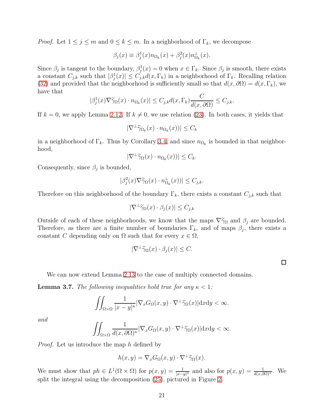*Proof.* Let  $1 \leq j \leq m$  and  $0 \leq k \leq m$ . In a neighborhood of  $\Gamma_k$ , we decompose

$$
\beta_j(x) \equiv \beta_j^1(x) n_{\Omega_k}(x) + \beta_j^2(x) n_{\Omega_k}^{\perp}(x).
$$

Since  $\beta_j$  is tangent to the boundary,  $\beta_j^1(x) = 0$  when  $x \in \Gamma_k$ . Since  $\beta_j$  is smooth, there exists a constant  $C_{j,k}$  such that  $|\beta_j^1(x)| \leq C_{j,k} d(x,\Gamma_k)$  in a neighborhood of  $\Gamma_k$ . Recalling relation [\(32\)](#page-18-0) and provided that the neighborhood is sufficiently small so that  $d(x, \partial\Omega) = d(x, \Gamma_k)$ , we have that

$$
|\beta_j^1(x)\nabla\widetilde{\gamma}_\Omega(x)\cdot n_{\Omega_k}(x)|\leq C_{j,k}d(x,\Gamma_k)\frac{C}{d(x,\partial\Omega)}\leq C_{j,k}.
$$

If  $k = 0$ , we apply Lemma [2.12.](#page-12-0) If  $k \neq 0$ , we use relation [\(23\)](#page-13-2). In both cases, it yields that

$$
|\nabla^{\perp} \widetilde{\gamma}_{\Omega_k}(x) \cdot n_{\Omega_k}(x))| \leq C_k
$$

in a neighborhood of  $\Gamma_k$ . Thus by Corollary [3.4,](#page-19-1) and since  $n_{\Omega_k}$  is bounded in that neighborhood,

$$
|\nabla^{\perp} \widetilde{\gamma}_{\Omega}(x) \cdot n_{\Omega_k}(x))| \leq C_k.
$$

Consequently, since  $\beta_j$  is bounded,

$$
|\beta_j^2(x)\nabla\widetilde{\gamma}_\Omega(x)\cdot n_{\Omega_k}^\perp(x))|\leq C_{j,k}.
$$

Therefore on this neighborhood of the boundary  $\Gamma_k$ , there exists a constant  $C_{j,k}$  such that

$$
|\nabla^{\perp} \widetilde{\gamma}_{\Omega}(x) \cdot \beta_j(x)| \le C_{j,k}
$$

Outside of each of these neighborhoods, we know that the maps  $\nabla \tilde{\gamma}_{\Omega}$  and  $\beta_i$  are bounded. Therefore, as there are a finite number of boundaries  $\Gamma_k$ , and of maps  $\beta_j$ , there exists a constant C depending only on  $\Omega$  such that for every  $x \in \Omega$ ,

$$
|\nabla^{\perp} \widetilde{\gamma}_{\Omega}(x) \cdot \beta_j(x)| \leq C.
$$

 $\Box$ 

We can now extend Lemma [2.13](#page-13-1) to the case of multiply connected domains.

<span id="page-20-0"></span>**Lemma 3.7.** The following inequalities hold true for any  $\kappa < 1$ :

$$
\iint_{\Omega\times\Omega} \frac{1}{|x-y|^{\kappa}} |\nabla_x G_{\Omega}(x,y)\cdot\nabla^{\perp}\widetilde{\gamma}_{\Omega}(x)| \mathrm{d}x \mathrm{d}y < \infty.
$$

and

$$
\iint_{\Omega\times\Omega} \frac{1}{d(x,\partial\Omega)^{\kappa}} |\nabla_x G_{\Omega}(x,y)\cdot\nabla^{\perp}\widetilde{\gamma}_{\Omega}(x)| \mathrm{d}x \mathrm{d}y < \infty.
$$

*Proof.* Let us introduce the map h defined by

$$
h(x, y) = \nabla_x G_{\Omega}(x, y) \cdot \nabla^{\perp} \widetilde{\gamma}_{\Omega}(x).
$$

We must show that  $ph \in L^1(\Omega \times \Omega)$  for  $p(x, y) = \frac{1}{|x-y|^{\kappa}}$  and also for  $p(x, y) = \frac{1}{d(x, \partial \Omega)^{\kappa}}$ . We split the integral using the decomposition [\(25\)](#page-16-1), pictured in Figure [2.](#page-17-0)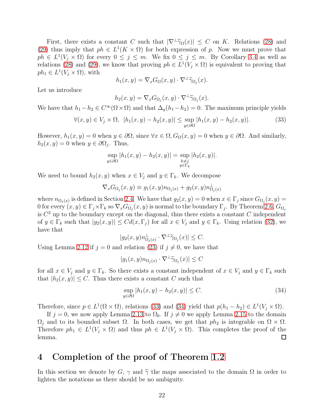First, there exists a constant C such that  $|\nabla^{\perp}\tilde{\gamma}_{\Omega}(x)| \leq C$  on K. Relations [\(28\)](#page-18-1) and [\(29\)](#page-18-2) thus imply that  $ph \in L^1(K \times \Omega)$  for both expression of p. Now we must prove that  $ph \in L^1(V_j \times \Omega)$  for every  $0 \le j \le m$ . We fix  $0 \le j \le m$ . By Corollary [3.4](#page-19-1) as well as relations [\(28\)](#page-18-1) and [\(29\)](#page-18-2), we know that proving  $ph \in L^1(V_j \times \Omega)$  is equivalent to proving that  $ph_1 \in L^1(V_j \times \Omega)$ , with

$$
h_1(x, y) = \nabla_x G_{\Omega}(x, y) \cdot \nabla^{\perp} \widetilde{\gamma}_{\Omega_j}(x).
$$

Let us introduce

$$
h_2(x,y) = \nabla_x G_{\Omega_j}(x,y) \cdot \nabla^{\perp} \widetilde{\gamma}_{\Omega_j}(x).
$$

We have that  $h_1 - h_2 \in C^{\infty}(\Omega \times \Omega)$  and that  $\Delta_y(h_1 - h_2) = 0$ . The maximum principle yields

<span id="page-21-1"></span>
$$
\forall (x, y) \in V_j \times \Omega, \ |h_1(x, y) - h_2(x, y)| \leq \sup_{y \in \partial \Omega} |h_1(x, y) - h_2(x, y)|. \tag{33}
$$

However,  $h_1(x, y) = 0$  when  $y \in \partial \Omega$ , since  $\forall x \in \Omega$ ,  $G_{\Omega}(x, y) = 0$  when  $y \in \partial \Omega$ . And similarly,  $h_2(x, y) = 0$  when  $y \in \partial \Omega_j$ . Thus,

$$
\sup_{y \in \partial \Omega} |h_1(x, y) - h_2(x, y)| = \sup_{\substack{k \neq j \\ y \in \Gamma_k}} |h_2(x, y)|.
$$

We need to bound  $h_2(x, y)$  when  $x \in V_j$  and  $y \in \Gamma_k$ . We decompose

$$
\nabla_x G_{\Omega_j}(x,y) \equiv g_1(x,y) n_{\Omega_j(x)} + g_2(x,y) n_{\Omega_j(x)}^\perp
$$

where  $n_{\Omega_j(x)}$  is defined in Section [2.4.](#page-8-3) We have that  $g_2(x, y) = 0$  when  $x \in \Gamma_j$  since  $G_{\Omega_j}(x, y) =$ 0 for every  $(x, y) \in \Gamma_j \times \Gamma_k$  so  $\nabla_x G_{\Omega_j}(x, y)$  is normal to the boundary  $\Gamma_j$ . By Theorem [2.6,](#page-7-7)  $G_{\Omega_j}$ is  $C<sup>2</sup>$  up to the boundary except on the diagonal, thus there exists a constant C independent of  $y \in \Gamma_k$  such that  $|g_2(x, y)| \leq C d(x, \Gamma_j)$  for all  $x \in V_j$  and  $y \in \Gamma_k$ . Using relation [\(32\)](#page-18-0), we have that

$$
|g_2(x,y)n_{\Omega_j(x)}^{\perp} \cdot \nabla^{\perp} \widetilde{\gamma}_{\Omega_j}(x)| \leq C.
$$

Using Lemma [2.12](#page-12-0) if  $j = 0$  and relation [\(23\)](#page-13-2) if  $j \neq 0$ , we have that

$$
|g_1(x, y)n_{\Omega_j(x)} \cdot \nabla^{\perp} \widetilde{\gamma}_{\Omega_j}(x)| \le C
$$

for all  $x \in V_j$  and  $y \in \Gamma_k$ . So there exists a constant independent of  $x \in V_j$  and  $y \in \Gamma_k$  such that  $|h_2(x, y)| \leq C$ . Thus there exists a constant C such that

<span id="page-21-2"></span>
$$
\sup_{y \in \partial \Omega} |h_1(x, y) - h_2(x, y)| \le C. \tag{34}
$$

Therefore, since  $p \in L^1(\Omega \times \Omega)$ , relations [\(33\)](#page-21-1) and [\(34\)](#page-21-2) yield that  $p(h_1 - h_2) \in L^1(V_j \times \Omega)$ .

If  $j = 0$ , we now apply Lemma [2.13](#page-13-1) to  $\Omega_0$ . If  $j \neq 0$  we apply Lemma [2.15](#page-16-3) to the domain  $\Omega_j$  and to its bounded subset  $\Omega$ . In both cases, we get that  $ph_2$  is integrable on  $\Omega \times \Omega$ . Therefore  $ph_1 \in L^1(V_j \times \Omega)$  and thus  $ph \in L^1(V_j \times \Omega)$ . This completes the proof of the lemma.

# <span id="page-21-0"></span>4 Completion of the proof of Theorem [1.2](#page-2-1)

In this section we denote by G,  $\gamma$  and  $\tilde{\gamma}$  the maps associated to the domain  $\Omega$  in order to lighten the notations as there should be no ambiguity.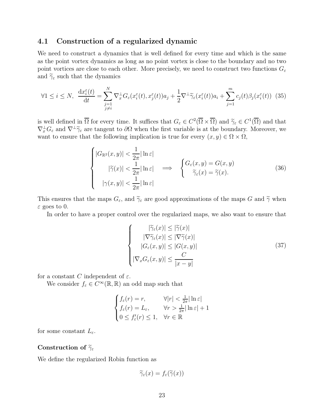#### <span id="page-22-0"></span>4.1 Construction of a regularized dynamic

We need to construct a dynamics that is well defined for every time and which is the same as the point vortex dynamics as long as no point vortex is close to the boundary and no two point vortices are close to each other. More precisely, we need to construct two functions  $G_{\varepsilon}$ and  $\widetilde{\gamma}_{\varepsilon}$  such that the dynamics

<span id="page-22-2"></span>
$$
\forall 1 \leq i \leq N, \quad \frac{\mathrm{d}x_i^{\varepsilon}(t)}{\mathrm{d}t} = \sum_{\substack{j=1 \ j \neq i}}^{N} \nabla_x^{\perp} G_{\varepsilon}(x_i^{\varepsilon}(t), x_j^{\varepsilon}(t)) a_j + \frac{1}{2} \nabla^{\perp} \widetilde{\gamma}_{\varepsilon}(x_i^{\varepsilon}(t)) a_i + \sum_{j=1}^{m} c_j(t) \beta_j(x_i^{\varepsilon}(t)) \tag{35}
$$

is well defined in  $\overline{\Omega}$  for every time. It suffices that  $G_{\varepsilon} \in C^2(\overline{\Omega} \times \overline{\Omega})$  and  $\widetilde{\gamma}_{\varepsilon} \in C^1(\overline{\Omega})$  and that  $\nabla_x^{\perp} G_{\varepsilon}$  and  $\nabla^{\perp} \widetilde{\gamma}_{\varepsilon}$  are tangent to  $\partial \Omega$  when the first variable is at the boundary. Moreover, we want to ensure that the following implication is true for every  $(x, y) \in \Omega \times \Omega$ ,

<span id="page-22-1"></span>
$$
\begin{cases}\n|G_{\mathbb{R}^2}(x,y)| < \frac{1}{2\pi} |\ln \varepsilon| \\
|\widetilde{\gamma}(x)| < \frac{1}{2\pi} |\ln \varepsilon| \implies \begin{cases}\nG_{\varepsilon}(x,y) = G(x,y) \\
\widetilde{\gamma}_{\varepsilon}(x) = \widetilde{\gamma}(x).\n\end{cases}\n\end{cases} (36)
$$
\n
$$
|\gamma(x,y)| < \frac{1}{2\pi} |\ln \varepsilon|
$$

This ensures that the maps  $G_{\varepsilon}$ , and  $\widetilde{\gamma}_{\varepsilon}$  are good approximations of the maps G and  $\widetilde{\gamma}$  when  $\varepsilon$  goes to 0.

In order to have a proper control over the regularized maps, we also want to ensure that

<span id="page-22-3"></span>
$$
\begin{cases}\n|\widetilde{\gamma}_{\varepsilon}(x)| \leq |\widetilde{\gamma}(x)| \\
|\nabla \widetilde{\gamma}_{\varepsilon}(x)| \leq |\nabla \widetilde{\gamma}(x)| \\
|G_{\varepsilon}(x, y)| \leq |G(x, y)| \\
|\nabla_x G_{\varepsilon}(x, y)| \leq \frac{C}{|x - y|}\n\end{cases}
$$
\n(37)

for a constant C independent of  $\varepsilon$ .

We consider  $f_{\varepsilon} \in \overline{C^{\infty}}(\mathbb{R}, \mathbb{R})$  an odd map such that

$$
\begin{cases}\nf_{\varepsilon}(r) = r, & \forall |r| < \frac{1}{2\pi} |\ln \varepsilon| \\
f_{\varepsilon}(r) = L_{\varepsilon}, & \forall r > \frac{1}{2\pi} |\ln \varepsilon| + 1 \\
0 \le f'_{\varepsilon}(r) \le 1, & \forall r \in \mathbb{R}\n\end{cases}
$$

for some constant  $L_{\varepsilon}$ .

#### Construction of  $\widetilde{\gamma}_{\varepsilon}$

We define the regularized Robin function as

$$
\widetilde{\gamma}_{\varepsilon}(x) = f_{\varepsilon}(\widetilde{\gamma}(x))
$$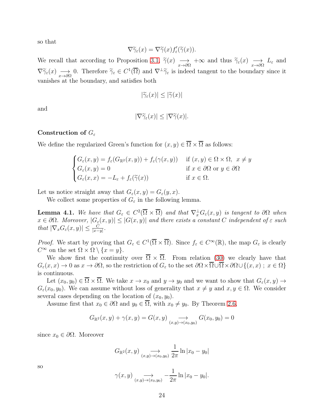so that

$$
\nabla \widetilde{\gamma}_{\varepsilon}(x) = \nabla \widetilde{\gamma}(x) f_{\varepsilon}'(\widetilde{\gamma}(x)).
$$

We recall that according to Proposition [3.1,](#page-18-3)  $\tilde{\gamma}(x) \longrightarrow x \to \infty$  and thus  $\tilde{\gamma}_{\varepsilon}(x) \longrightarrow L_{\varepsilon}$  and  $\nabla \widetilde{\gamma}_{\varepsilon}(x) \longrightarrow \infty$  O. Therefore  $\widetilde{\gamma}_{\varepsilon} \in C^{1}(\overline{\Omega})$  and  $\nabla^{\perp} \widetilde{\gamma}_{\varepsilon}$  is indeed tangent to the boundary since it vanishes at the boundary, and satisfies both

$$
|\widetilde{\gamma}_{\varepsilon}(x)| \leq |\widetilde{\gamma}(x)|
$$

and

$$
|\nabla \widetilde{\gamma}_{\varepsilon}(x)| \leq |\nabla \widetilde{\gamma}(x)|.
$$

#### Construction of  $G_{\varepsilon}$

We define the regularized Green's function for  $(x, y) \in \overline{\Omega} \times \overline{\Omega}$  as follows:

$$
\begin{cases}\nG_{\varepsilon}(x, y) = f_{\varepsilon}(G_{\mathbb{R}^2}(x, y)) + f_{\varepsilon}(\gamma(x, y)) & \text{if } (x, y) \in \Omega \times \Omega, \ x \neq y \\
G_{\varepsilon}(x, y) = 0 & \text{if } x \in \partial\Omega \text{ or } y \in \partial\Omega \\
G_{\varepsilon}(x, x) = -L_{\varepsilon} + f_{\varepsilon}(\widetilde{\gamma}(x)) & \text{if } x \in \Omega.\n\end{cases}
$$

Let us notice straight away that  $G_{\varepsilon}(x, y) = G_{\varepsilon}(y, x)$ .

We collect some properties of  $G_{\varepsilon}$  in the following lemma.

**Lemma 4.1.** We have that  $G_{\varepsilon} \in C^2(\overline{\Omega} \times \overline{\Omega})$  and that  $\nabla_x^{\perp} G_{\varepsilon}(x, y)$  is tangent to  $\partial \Omega$  when  $x \in \partial\Omega$ . Moreover,  $|G_{\varepsilon}(x,y)| \leq |G(x,y)|$  and there exists a constant C independent of  $\varepsilon$  such that  $|\nabla_x G_{\varepsilon}(x, y)| \leq \frac{C}{|x-y|}$ .

*Proof.* We start by proving that  $G_{\varepsilon} \in C^1(\overline{\Omega} \times \overline{\Omega})$ . Since  $f_{\varepsilon} \in C^{\infty}(\mathbb{R})$ , the map  $G_{\varepsilon}$  is clearly  $C^{\infty}$  on the set  $\Omega \times \Omega \setminus \{x = y\}.$ 

We show first the continuity over  $\overline{\Omega} \times \overline{\Omega}$ . From relation [\(30\)](#page-18-4) we clearly have that  $G_{\varepsilon}(x,x) \to 0$  as  $x \to \partial\Omega$ , so the restriction of  $G_{\varepsilon}$  to the set  $\partial\Omega \times \overline{\Omega} \cup \overline{\Omega} \times \partial\Omega \cup \{(x,x) ; x \in \Omega\}$ is continuous.

Let  $(x_0, y_0) \in \overline{\Omega} \times \overline{\Omega}$ . We take  $x \to x_0$  and  $y \to y_0$  and we want to show that  $G_{\varepsilon}(x, y) \to$  $G_{\varepsilon}(x_0, y_0)$ . We can assume without loss of generality that  $x \neq y$  and  $x, y \in \Omega$ . We consider several cases depending on the location of  $(x_0, y_0)$ .

Assume first that  $x_0 \in \partial\Omega$  and  $y_0 \in \overline{\Omega}$ , with  $x_0 \neq y_0$ . By Theorem [2.6,](#page-7-7)

$$
G_{\mathbb{R}^2}(x,y) + \gamma(x,y) = G(x,y) \underset{(x,y) \to (x_0,y_0)}{\longrightarrow} G(x_0,y_0) = 0
$$

since  $x_0 \in \partial \Omega$ . Moreover

$$
G_{\mathbb{R}^2}(x,y) \underset{(x,y)\to(x_0,y_0)}{\longrightarrow} \frac{1}{2\pi} \ln|x_0-y_0|
$$

so

$$
\gamma(x,y) \underset{(x,y)\to(x_0,y_0)}{\longrightarrow} -\frac{1}{2\pi} \ln|x_0-y_0|.
$$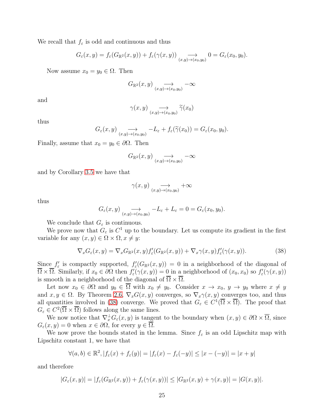We recall that  $f_{\varepsilon}$  is odd and continuous and thus

$$
G_{\varepsilon}(x,y) = f_{\varepsilon}(G_{\mathbb{R}^2}(x,y)) + f_{\varepsilon}(\gamma(x,y)) \underset{(x,y) \to (x_0,y_0)}{\longrightarrow} 0 = G_{\varepsilon}(x_0,y_0).
$$

Now assume  $x_0 = y_0 \in \Omega$ . Then

$$
G_{\mathbb{R}^2}(x,y) \underset{(x,y)\to(x_0,y_0)}{\longrightarrow} -\infty
$$

and

$$
\gamma(x,y) \underset{(x,y)\to(x_0,y_0)}{\longrightarrow} \widetilde{\gamma}(x_0)
$$

thus

$$
G_{\varepsilon}(x,y) \underset{(x,y)\to(x_0,y_0)}{\longrightarrow} -L_{\varepsilon} + f_{\varepsilon}(\widetilde{\gamma}(x_0)) = G_{\varepsilon}(x_0,y_0).
$$

Finally, assume that  $x_0 = y_0 \in \partial\Omega$ . Then

$$
G_{\mathbb{R}^2}(x,y) \underset{(x,y)\to(x_0,y_0)}{\longrightarrow} -\infty
$$

and by Corollary [3.5](#page-19-2) we have that

$$
\gamma(x,y) \underset{(x,y)\to(x_0,y_0)}{\longrightarrow} +\infty
$$

thus

$$
G_{\varepsilon}(x,y) \underset{(x,y)\to(x_0,y_0)}{\longrightarrow} -L_{\varepsilon} + L_{\varepsilon} = 0 = G_{\varepsilon}(x_0,y_0).
$$

We conclude that  $G_{\varepsilon}$  is continuous.

We prove now that  $G_{\varepsilon}$  is  $C^1$  up to the boundary. Let us compute its gradient in the first variable for any  $(x, y) \in \Omega \times \Omega, x \neq y$ :

<span id="page-24-0"></span>
$$
\nabla_x G_{\varepsilon}(x, y) = \nabla_x G_{\mathbb{R}^2}(x, y) f'_{\varepsilon}(G_{\mathbb{R}^2}(x, y)) + \nabla_x \gamma(x, y) f'_{\varepsilon}(\gamma(x, y)). \tag{38}
$$

Since  $f'_{\varepsilon}$  is compactly supported,  $f'_{\varepsilon}(G_{\mathbb{R}^2}(x,y)) = 0$  in a neighborhood of the diagonal of  $\overline{\Omega} \times \overline{\Omega}$ . Similarly, if  $x_0 \in \partial \Omega$  then  $f'_\varepsilon(\gamma(x, y)) = 0$  in a neighborhood of  $(x_0, x_0)$  so  $f'_\varepsilon(\gamma(x, y))$ is smooth in a neighborhood of the diagonal of  $\overline{\Omega} \times \overline{\Omega}$ .

Let now  $x_0 \in \partial\Omega$  and  $y_0 \in \overline{\Omega}$  with  $x_0 \neq y_0$ . Consider  $x \to x_0, y \to y_0$  where  $x \neq y$ and  $x, y \in \Omega$ . By Theorem [2.6,](#page-7-7)  $\nabla_x G(x, y)$  converges, so  $\nabla_x \gamma(x, y)$  converges too, and thus all quantities involved in [\(38\)](#page-24-0) converge. We proved that  $G_{\varepsilon} \in C^1(\overline{\Omega} \times \overline{\Omega})$ . The proof that  $G_{\varepsilon} \in C^2(\overline{\Omega} \times \overline{\Omega})$  follows along the same lines.

We now notice that  $\nabla_x^{\perp} G_{\varepsilon}(x, y)$  is tangent to the boundary when  $(x, y) \in \partial\Omega \times \overline{\Omega}$ , since  $G_{\varepsilon}(x, y) = 0$  when  $x \in \partial \Omega$ , for every  $y \in \Omega$ .

We now prove the bounds stated in the lemma. Since  $f_{\varepsilon}$  is an odd Lipschitz map with Lipschitz constant 1, we have that

$$
\forall (a,b) \in \mathbb{R}^2, |f_{\varepsilon}(x) + f_{\varepsilon}(y)| = |f_{\varepsilon}(x) - f_{\varepsilon}(-y)| \le |x - (-y)| = |x + y|
$$

and therefore

$$
|G_{\varepsilon}(x,y)| = |f_{\varepsilon}(G_{\mathbb{R}^2}(x,y)) + f_{\varepsilon}(\gamma(x,y))| \leq |G_{\mathbb{R}^2}(x,y) + \gamma(x,y)| = |G(x,y)|.
$$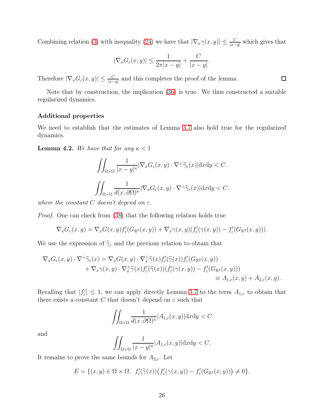Combining relation [\(3\)](#page-1-0) with inequality [\(24\)](#page-13-0) we have that  $|\nabla_x \gamma(x, y)| \leq \frac{C}{|x-y|}$  which gives that

$$
|\nabla_x G_{\varepsilon}(x,y)| \le \frac{1}{2\pi|x-y|} + \frac{C}{|x-y|}.
$$

Therefore  $|\nabla_x G_{\varepsilon}(x,y)| \leq \frac{C}{|x-y|}$  and this completes the proof of the lemma.

Note that by construction, the implication [\(36\)](#page-22-1) is true. We thus constructed a suitable regularized dynamics.

#### Additional properties

We need to establish that the estimates of Lemma [3.7](#page-20-0) also hold true for the regularized dynamics.

<span id="page-25-0"></span>**Lemma 4.2.** We have that for any  $\kappa < 1$ 

$$
\iint_{\Omega \times \Omega} \frac{1}{|x - y|^{\kappa}} |\nabla_x G_{\varepsilon}(x, y) \cdot \nabla^{\perp} \widetilde{\gamma}_{\varepsilon}(x)| dxdy < C.
$$
  

$$
\iint_{\Omega \times \Omega} \frac{1}{d(x, \partial \Omega)^{\kappa}} |\nabla_x G_{\varepsilon}(x, y) \cdot \nabla^{\perp} \widetilde{\gamma}_{\varepsilon}(x)| dxdy < C.
$$

where the constant C doesn't depend on  $\varepsilon$ .

Proof. One can check from [\(38\)](#page-24-0) that the following relation holds true

$$
\nabla_x G_{\varepsilon}(x,y) = \nabla_x G(x,y) f_{\varepsilon}'(G_{\mathbb{R}^2}(x,y)) + \nabla_x \gamma(x,y) (f_{\varepsilon}'(\gamma(x,y)) - f_{\varepsilon}'(G_{\mathbb{R}^2}(x,y))).
$$

We use the expression of  $\widetilde{\gamma}_{\varepsilon}$  and the previous relation to obtain that

$$
\nabla_x G_{\varepsilon}(x, y) \cdot \nabla^{\perp} \widetilde{\gamma}_{\varepsilon}(x) = \nabla_x G(x, y) \cdot \nabla_x^{\perp} \widetilde{\gamma}(x) f'_{\varepsilon}(\widetilde{\gamma}(x)) f'_{\varepsilon}(G_{\mathbb{R}^2}(x, y)) \n+ \nabla_x \gamma(x, y) \cdot \nabla_x^{\perp} \widetilde{\gamma}(x) f'_{\varepsilon}(\widetilde{\gamma}(x)) (f'_{\varepsilon}(\gamma(x, y)) - f'_{\varepsilon}(G_{\mathbb{R}^2}(x, y))) \n\equiv A_{1,\varepsilon}(x, y) + A_{2,\varepsilon}(x, y).
$$

Recalling that  $|f'_{\varepsilon}| \leq 1$ , we can apply directly Lemma [3.7](#page-20-0) to the term  $A_{1,\varepsilon}$  to obtain that there exists a constant C that doesn't depend on  $\varepsilon$  such that

$$
\iint_{\Omega \times \Omega} \frac{1}{d(x, \partial \Omega)^{\kappa}} |A_{1,\varepsilon}(x, y)| \mathrm{d}x \mathrm{d}y < C
$$

and

$$
\iint_{\Omega\times\Omega} \frac{1}{|x-y|^{\kappa}} |A_{1,\varepsilon}(x,y)| \mathrm{d}x \mathrm{d}y < C.
$$

It remains to prove the same bounds for  $A_{2,\varepsilon}$ . Let

$$
E = \{(x, y) \in \Omega \times \Omega, f'_{\varepsilon}(\widetilde{\gamma}(x))\big(f'_{\varepsilon}(\gamma(x, y)) - f'_{\varepsilon}(G_{\mathbb{R}^2}(x, y))\big) \neq 0\}.
$$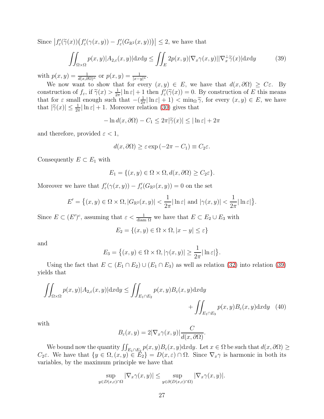Since  $|f'_{\varepsilon}(\tilde{\gamma}(x))\big(f'_{\varepsilon}(\gamma(x,y)) - f'_{\varepsilon}(G_{\mathbb{R}^2}(x,y))\big)| \leq 2$ , we have that

<span id="page-26-0"></span>
$$
\iint_{\Omega \times \Omega} p(x, y) |A_{2,\varepsilon}(x, y)| \, \mathrm{d}x \, \mathrm{d}y \le \iint_{E} 2p(x, y) |\nabla_x \gamma(x, y)| |\nabla_x^{\perp} \widetilde{\gamma}(x)| \, \mathrm{d}x \, \mathrm{d}y \tag{39}
$$

with  $p(x, y) = \frac{1}{d(x, \partial \Omega)^{\kappa}}$  or  $p(x, y) = \frac{1}{|x - y|^{\kappa}}$ .

We now want to show that for every  $(x, y) \in E$ , we have that  $d(x, \partial \Omega) \geq C \varepsilon$ . By construction of  $f_{\varepsilon}$ , if  $\widetilde{\gamma}(x) > \frac{1}{2\pi}$  $\frac{1}{2\pi} \ln \varepsilon + 1$  then  $f'_{\varepsilon}(\tilde{\gamma}(x)) = 0$ . By construction of E this means that for  $\varepsilon$  small enough such that  $-(\frac{1}{2i})$  $\frac{1}{2\pi} \ln \varepsilon + 1$  <  $\min_{\Omega} \tilde{\gamma}$ , for every  $(x, y) \in E$ , we have that  $|\tilde{\gamma}(x)| \leq \frac{1}{2\pi} |\ln \varepsilon| + 1$ . Moreover relation [\(30\)](#page-18-4) gives that

$$
-\ln d(x,\partial\Omega) - C_1 \le 2\pi |\widetilde{\gamma}(x)| \le |\ln \varepsilon| + 2\pi
$$

and therefore, provided  $\varepsilon < 1$ ,

$$
d(x, \partial \Omega) \ge \varepsilon \exp(-2\pi - C_1) \equiv C_2 \varepsilon.
$$

Consequently  $E \subset E_1$  with

$$
E_1 = \{(x, y) \in \Omega \times \Omega, d(x, \partial \Omega) \ge C_2 \varepsilon\}.
$$

Moreover we have that  $f'_{\varepsilon}(\gamma(x,y)) - f'_{\varepsilon}(G_{\mathbb{R}^2}(x,y)) = 0$  on the set

$$
E' = \left\{ (x, y) \in \Omega \times \Omega, |G_{\mathbb{R}^2}(x, y)| < \frac{1}{2\pi} |\ln \varepsilon| \text{ and } |\gamma(x, y)| < \frac{1}{2\pi} |\ln \varepsilon| \right\}.
$$

Since  $E \subset (E')^c$ , assuming that  $\varepsilon < \frac{1}{\text{diam }\Omega}$  we have that  $E \subset E_2 \cup E_3$  with

$$
E_2 = \{(x, y) \in \Omega \times \Omega, |x - y| \le \varepsilon\}
$$

and

$$
E_3 = \left\{ (x, y) \in \Omega \times \Omega, |\gamma(x, y)| \ge \frac{1}{2\pi} |\ln \varepsilon| \right\}.
$$

Using the fact that  $E \subset (E_1 \cap E_2) \cup (E_1 \cap E_3)$  as well as relation [\(32\)](#page-18-0) into relation [\(39\)](#page-26-0) yields that

$$
\iint_{\Omega \times \Omega} p(x, y) |A_{2,\varepsilon}(x, y)| \, dx \, dy \le \iint_{E_1 \cap E_2} p(x, y) B_{\varepsilon}(x, y) \, dx \, dy\n+ \iint_{E_1 \cap E_3} p(x, y) B_{\varepsilon}(x, y) \, dx \, dy \tag{40}
$$

with

<span id="page-26-1"></span>
$$
B_{\varepsilon}(x, y) = 2|\nabla_x \gamma(x, y)| \frac{C}{d(x, \partial \Omega)}.
$$

We bound now the quantity  $\iint_{E_1 \cap E_2} p(x, y) B_{\varepsilon}(x, y) dx dy$ . Let  $x \in \Omega$  be such that  $d(x, \partial \Omega) \ge$  $C_2\varepsilon$ . We have that  $\{y \in \Omega, (x, y) \in E_2\} = D(x, \varepsilon) \cap \Omega$ . Since  $\nabla_x \gamma$  is harmonic in both its variables, by the maximum principle we have that

$$
\sup_{y \in D(x,\varepsilon) \cap \Omega} |\nabla_x \gamma(x,y)| \leq \sup_{y \in \partial(D(x,\varepsilon) \cap \Omega)} |\nabla_x \gamma(x,y)|.
$$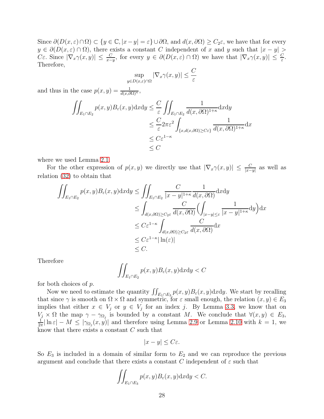Since  $\partial(D(x,\varepsilon)\cap\Omega)\subset\{y\in\mathbb{C},|x-y|=\varepsilon\}\cup\partial\Omega$ , and  $d(x,\partial\Omega)\geq C_2\varepsilon$ , we have that for every  $y \in \partial(D(x, \varepsilon) \cap \Omega)$ , there exists a constant C independent of x and y such that  $|x - y|$  $C\varepsilon$ . Since  $|\nabla_x \gamma(x,y)| \leq \frac{C}{x-y}$ , for every  $y \in \partial(D(x,\varepsilon) \cap \Omega)$  we have that  $|\nabla_x \gamma(x,y)| \leq \frac{C}{\varepsilon}$ . Therefore,

$$
\sup_{y \in D(x,\varepsilon) \cap \Omega} |\nabla_x \gamma(x,y)| \le \frac{C}{\varepsilon}
$$

and thus in the case  $p(x, y) = \frac{1}{d(x, \partial\Omega)^{\kappa}},$ 

$$
\iint_{E_1 \cap E_2} p(x, y) B_{\varepsilon}(x, y) dx dy \leq \frac{C}{\varepsilon} \iint_{E_1 \cap E_2} \frac{1}{d(x, \partial \Omega)^{1+\kappa}} dx dy
$$
  
\n
$$
\leq \frac{C}{\varepsilon} 2\pi \varepsilon^2 \int_{\{x, d(x, \partial \Omega) \geq C\varepsilon\}} \frac{1}{d(x, \partial \Omega)^{1+\kappa}} dx
$$
  
\n
$$
\leq C \varepsilon^{1-\kappa}
$$
  
\n
$$
\leq C
$$

where we used Lemma [2.1.](#page-5-2)

For the other expression of  $p(x, y)$  we directly use that  $|\nabla_x \gamma(x, y)| \leq \frac{C}{|x-y|}$  as well as relation [\(32\)](#page-18-0) to obtain that

$$
\iint_{E_1 \cap E_2} p(x, y) B_{\varepsilon}(x, y) dx dy \le \iint_{E_1 \cap E_2} \frac{C}{|x - y|^{1 + \kappa}} \frac{1}{d(x, \partial \Omega)} dx dy
$$
  
\n
$$
\le \int_{d(x, \partial \Omega) \ge C_2 \varepsilon} \frac{C}{d(x, \partial \Omega)} \Biggl( \int_{|x - y| \le \varepsilon} \frac{1}{|x - y|^{1 + \kappa}} dy \Biggr) dx
$$
  
\n
$$
\le C \varepsilon^{1 - \kappa} \int_{d(x, \partial \Omega) \ge C_2 \varepsilon} \frac{C}{d(x, \partial \Omega)} dx
$$
  
\n
$$
\le C \varepsilon^{1 - \kappa} |\ln(\varepsilon)|
$$
  
\n
$$
\le C.
$$

Therefore

$$
\iint_{E_1 \cap E_2} p(x, y) B_{\varepsilon}(x, y) \mathrm{d}x \mathrm{d}y < C
$$

for both choices of p.

Now we need to estimate the quantity  $\iint_{E_1 \cap E_3} p(x, y) B_{\varepsilon}(x, y) \mathrm{d}x \mathrm{d}y$ . We start by recalling that since  $\gamma$  is smooth on  $\Omega \times \Omega$  and symmetric, for  $\varepsilon$  small enough, the relation  $(x, y) \in E_3$ implies that either  $x \in V_j$  or  $y \in V_j$  for an index j. By Lemma [3.3,](#page-19-0) we know that on  $V_j \times \Omega$  the map  $\gamma - \gamma_{\Omega_j}$  is bounded by a constant M. We conclude that  $\forall (x, y) \in E_3$ ,<br> $\frac{1}{x} |\ln s| = M \leq |\gamma_{\Omega_j}(x, y)|$  and therefore using Lemma 2.9 or Lemma 2.10 with  $k = 1$  we  $\frac{1}{2\pi}|\ln \varepsilon| - M \leq |\gamma_{\Omega_j}(x, y)|$  and therefore using Lemma [2.9](#page-10-0) or Lemma [2.10](#page-10-1) with  $k = 1$ , we know that there exists a constant C such that

$$
|x-y| \leq C\varepsilon.
$$

So  $E_3$  is included in a domain of similar form to  $E_2$  and we can reproduce the previous argument and conclude that there exists a constant C independent of  $\varepsilon$  such that

$$
\iint_{E_1 \cap E_3} p(x, y) B_{\varepsilon}(x, y) \mathrm{d}x \mathrm{d}y < C.
$$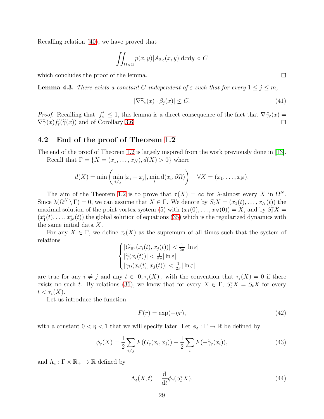Recalling relation [\(40\)](#page-26-1), we have proved that

$$
\iint_{\Omega \times \Omega} p(x, y) |A_{2,\varepsilon}(x, y)| \mathrm{d}x \mathrm{d}y < C
$$

which concludes the proof of the lemma.

**Lemma 4.3.** There exists a constant C independent of  $\varepsilon$  such that for every  $1 \leq j \leq m$ ,

<span id="page-28-4"></span>
$$
|\nabla \widetilde{\gamma}_{\varepsilon}(x) \cdot \beta_j(x)| \le C. \tag{41}
$$

*Proof.* Recalling that  $|f'_{\epsilon}| \leq 1$ , this lemma is a direct consequence of the fact that  $\nabla \widetilde{\gamma}_{\epsilon}(x) = \nabla^{\epsilon}(\epsilon) f'(\widetilde{\epsilon}(\epsilon))$  $\nabla \widetilde{\gamma}(x) f'_{\varepsilon}(\widetilde{\gamma}(x))$  and of Corollary [3.6.](#page-19-3)

### <span id="page-28-0"></span>4.2 End of the proof of Theorem [1.2](#page-2-1)

The end of the proof of Theorem [1.2](#page-2-1) is largely inspired from the work previously done in [\[13\]](#page-35-0).

Recall that  $\Gamma = \{X = (x_1, \ldots, x_N), d(X) > 0\}$  where

$$
d(X) = \min\left(\min_{i \neq j} |x_i - x_j|, \min_i d(x_i, \partial \Omega)\right) \quad \forall X = (x_1, \dots, x_N).
$$

The aim of the Theorem [1.2](#page-2-1) is to prove that  $\tau(X) = \infty$  for  $\lambda$ -almost every X in  $\Omega^N$ . Since  $\lambda(\Omega^N \setminus \Gamma) = 0$ , we can assume that  $X \in \Gamma$ . We denote by  $S_t X = (x_1(t), \ldots, x_N(t))$  the maximal solution of the point vortex system [\(5\)](#page-2-0) with  $(x_1(0),...,x_N(0)) = X$ , and by  $S_t^{\varepsilon} X =$  $(x_1^{\varepsilon}(t),\ldots,x_N^{\varepsilon}(t))$  the global solution of equations [\(35\)](#page-22-2) which is the regularized dynamics with the same initial data X.

For any  $X \in \Gamma$ , we define  $\tau_{\varepsilon}(X)$  as the supremum of all times such that the system of relations

$$
\begin{cases} |G_{\mathbb{R}^2}(x_i(t), x_j(t))| < \frac{1}{2\pi} |\ln \varepsilon| \\ |\widetilde{\gamma}(x_i(t))| < \frac{1}{2\pi} |\ln \varepsilon| \\ |\gamma_\Omega(x_i(t), x_j(t))| < \frac{1}{2\pi} |\ln \varepsilon| \end{cases}
$$

are true for any  $i \neq j$  and any  $t \in [0, \tau_{\varepsilon}(X)$ , with the convention that  $\tau_{\varepsilon}(X) = 0$  if there exists no such t. By relations [\(36\)](#page-22-1), we know that for every  $X \in \Gamma$ ,  $S_t^{\varepsilon} X = S_t X$  for every  $t < \tau_{\varepsilon}(X)$ .

Let us introduce the function

<span id="page-28-3"></span>
$$
F(r) = \exp(-\eta r),\tag{42}
$$

with a constant  $0 < \eta < 1$  that we will specify later. Let  $\phi_{\varepsilon} : \Gamma \to \mathbb{R}$  be defined by

<span id="page-28-2"></span>
$$
\phi_{\varepsilon}(X) = \frac{1}{2} \sum_{i \neq j} F(G_{\varepsilon}(x_i, x_j)) + \frac{1}{2} \sum_{i} F(-\widetilde{\gamma}_{\varepsilon}(x_i)), \tag{43}
$$

and  $\Lambda_{\varepsilon} : \Gamma \times \mathbb{R}_{+} \to \mathbb{R}$  defined by

<span id="page-28-1"></span>
$$
\Lambda_{\varepsilon}(X,t) = \frac{\mathrm{d}}{\mathrm{d}t} \phi_{\varepsilon}(S_t^{\varepsilon} X). \tag{44}
$$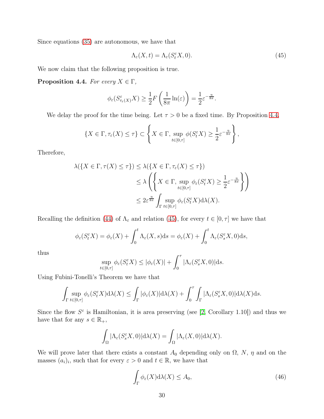Since equations [\(35\)](#page-22-2) are autonomous, we have that

<span id="page-29-1"></span>
$$
\Lambda_{\varepsilon}(X,t) = \Lambda_{\varepsilon}(S_t^{\varepsilon}X,0). \tag{45}
$$

We now claim that the following proposition is true.

<span id="page-29-0"></span>**Proposition 4.4.** For every  $X \in \Gamma$ ,

$$
\phi_{\varepsilon}(S_{\tau_{\varepsilon}(X)}^{\varepsilon}X) \ge \frac{1}{2}F\left(\frac{1}{8\pi}\ln(\varepsilon)\right) = \frac{1}{2}\varepsilon^{-\frac{\eta}{8\pi}}.
$$

We delay the proof for the time being. Let  $\tau > 0$  be a fixed time. By Proposition [4.4,](#page-29-0)

$$
\{X \in \Gamma, \tau_{\varepsilon}(X) \leq \tau\} \subset \left\{X \in \Gamma, \sup_{t \in [0,\tau]} \phi(S_{t}^{\varepsilon} X) \geq \frac{1}{2} \varepsilon^{-\frac{\eta}{8\pi}}\right\},\
$$

Therefore,

$$
\lambda(\{X \in \Gamma, \tau(X) \le \tau\}) \le \lambda(\{X \in \Gamma, \tau_{\varepsilon}(X) \le \tau\})
$$
  

$$
\le \lambda \left(\left\{X \in \Gamma, \sup_{t \in [0,\tau]} \phi_{\varepsilon}(S_t^{\varepsilon} X) \ge \frac{1}{2} \varepsilon^{-\frac{\eta}{8\pi}}\right\}\right)
$$
  

$$
\le 2\varepsilon^{\frac{\eta}{8\pi}} \int_{\Gamma} \sup_{t \in [0,\tau]} \phi_{\varepsilon}(S_t^{\varepsilon} X) d\lambda(X).
$$

Recalling the definition [\(44\)](#page-28-1) of  $\Lambda_{\varepsilon}$  and relation [\(45\)](#page-29-1), for every  $t \in [0, \tau]$  we have that

$$
\phi_{\varepsilon}(S_{t}^{\varepsilon}X)=\phi_{\varepsilon}(X)+\int_{0}^{t}\Lambda_{\varepsilon}(X,s)\mathrm{d}s=\phi_{\varepsilon}(X)+\int_{0}^{t}\Lambda_{\varepsilon}(S_{s}^{\varepsilon}X,0)\mathrm{d}s,
$$

thus

$$
\sup_{t\in[0,\tau]}\phi_{\varepsilon}(S_t^{\varepsilon}X)\leq|\phi_{\varepsilon}(X)|+\int_0^{\tau}|\Lambda_{\varepsilon}(S_s^{\varepsilon}X,0)|\mathrm{d}s.
$$

Using Fubini-Tonelli's Theorem we have that

$$
\int_{\Gamma} \sup_{t \in [0,\tau]} \phi_{\varepsilon}(S_t^{\varepsilon} X) d\lambda(X) \leq \int_{\Gamma} |\phi_{\varepsilon}(X)| d\lambda(X) + \int_0^{\tau} \int_{\Gamma} |\Lambda_{\varepsilon}(S_s^{\varepsilon} X,0)| d\lambda(X) ds.
$$

Since the flow  $S^{\varepsilon}$  is Hamiltonian, it is area preserving (see [\[2,](#page-34-2) Corollary 1.10]) and thus we have that for any  $s \in \mathbb{R}_+$ ,

$$
\int_{\Omega} |\Lambda_{\varepsilon}(S_{s}^{\varepsilon} X,0)| \mathrm{d}\lambda(X) = \int_{\Omega} |\Lambda_{\varepsilon}(X,0)| \mathrm{d}\lambda(X).
$$

We will prove later that there exists a constant  $A_0$  depending only on  $\Omega$ , N,  $\eta$  and on the masses  $(a_i)_i$ , such that for every  $\varepsilon > 0$  and  $t \in \mathbb{R}$ , we have that

<span id="page-29-2"></span>
$$
\int_{\Gamma} \phi_{\varepsilon}(X) d\lambda(X) \le A_0,
$$
\n(46)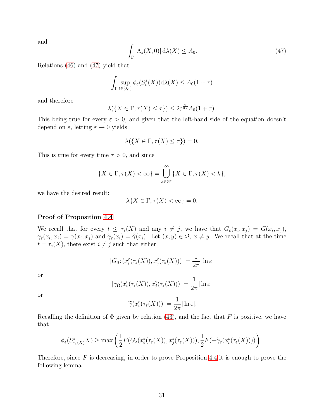and

<span id="page-30-0"></span>
$$
\int_{\Gamma} |\Lambda_{\varepsilon}(X,0)| \, d\lambda(X) \le A_0. \tag{47}
$$

Relations [\(46\)](#page-29-2) and [\(47\)](#page-30-0) yield that

$$
\int_{\Gamma} \sup_{t \in [0,\tau]} \phi_{\varepsilon}(S_t^{\varepsilon}(X)) d\lambda(X) \le A_0(1+\tau)
$$

and therefore

$$
\lambda(\{X \in \Gamma, \tau(X) \le \tau\}) \le 2\varepsilon^{\frac{\eta}{8\pi}} A_0(1+\tau).
$$

This being true for every  $\varepsilon > 0$ , and given that the left-hand side of the equation doesn't depend on  $\varepsilon$ , letting  $\varepsilon \to 0$  yields

$$
\lambda(\{X \in \Gamma, \tau(X) \le \tau\}) = 0.
$$

This is true for every time  $\tau > 0$ , and since

$$
\{X \in \Gamma, \tau(X) < \infty\} = \bigcup_{k \in \mathbb{N}^*}^{\infty} \{X \in \Gamma, \tau(X) < k\},
$$

we have the desired result:

$$
\lambda\{X \in \Gamma, \tau(X) < \infty\} = 0.
$$

#### Proof of Proposition [4.4](#page-29-0)

We recall that for every  $t \leq \tau_{\varepsilon}(X)$  and any  $i \neq j$ , we have that  $G_{\varepsilon}(x_i, x_j) = G(x_i, x_j)$ ,  $\gamma_{\varepsilon}(x_i, x_j) = \gamma(x_i, x_j)$  and  $\widetilde{\gamma}_{\varepsilon}(x_i) = \widetilde{\gamma}(x_i)$ . Let  $(x, y) \in \Omega$ ,  $x \neq y$ . We recall that at the time  $t = \tau_{\varepsilon}(X)$ , there exist  $i \neq j$  such that either

$$
|G_{\mathbb{R}^2}(x_i^{\varepsilon}(\tau_{\varepsilon}(X)), x_j^{\varepsilon}(\tau_{\varepsilon}(X)))| = \frac{1}{2\pi}|\ln \varepsilon|
$$

or

$$
|\gamma_{\Omega}(x_i^{\varepsilon}(\tau_{\varepsilon}(X)), x_j^{\varepsilon}(\tau_{\varepsilon}(X)))| = \frac{1}{2\pi}|\ln \varepsilon|
$$

or

$$
|\widetilde{\gamma}(x_i^{\varepsilon}(\tau_{\varepsilon}(X)))| = \frac{1}{2\pi}|\ln \varepsilon|.
$$

Recalling the definition of  $\Phi$  given by relation [\(43\)](#page-28-2), and the fact that F is positive, we have that

$$
\phi_{\varepsilon}(S_{\tau_{\varepsilon}(X)}^{\varepsilon}X)\geq \max\left(\frac{1}{2}F(G_{\varepsilon}(x_{i}^{\varepsilon}(\tau_{\varepsilon}(X)),x_{j}^{\varepsilon}(\tau_{\varepsilon}(X))),\frac{1}{2}F(-\widetilde{\gamma}_{\varepsilon}(x_{i}^{\varepsilon}(\tau_{\varepsilon}(X))))\right).
$$

Therefore, since  $F$  is decreasing, in order to prove Proposition [4.4](#page-29-0) it is enough to prove the following lemma.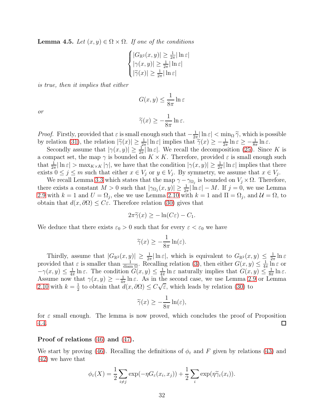**Lemma 4.5.** Let  $(x, y) \in \Omega \times \Omega$ . If one of the conditions

$$
\begin{cases} |G_{\mathbb{R}^2}(x,y)| \geq \frac{1}{2\pi} |\ln \varepsilon| \\ |\gamma(x,y)| \geq \frac{1}{2\pi} |\ln \varepsilon| \\ |\widetilde{\gamma}(x)| \geq \frac{1}{2\pi} |\ln \varepsilon| \end{cases}
$$

is true, then it implies that either

$$
G(x, y) \le \frac{1}{8\pi} \ln \varepsilon
$$

or

$$
\widetilde{\gamma}(x) \ge -\frac{1}{8\pi} \ln \varepsilon.
$$

*Proof.* Firstly, provided that  $\varepsilon$  is small enough such that  $-\frac{1}{2\tau}$  $\frac{1}{2\pi} \ln \varepsilon < \min_{\Omega} \tilde{\gamma}$ , which is possible by relation [\(31\)](#page-18-5), the relation  $|\widetilde{\gamma}(x)| \geq \frac{1}{2\pi} |\ln \varepsilon|$  implies that  $\widetilde{\gamma}(x) \geq -\frac{1}{2\pi} \ln \varepsilon \geq -\frac{1}{8\pi} \ln \varepsilon$ .

Secondly assume that  $|\gamma(x, y)| \geq \frac{1}{2\pi} |\ln \varepsilon|$ . We recall the decomposition [\(25\)](#page-16-1). Since K is a compact set, the map  $\gamma$  is bounded on  $K \times K$ . Therefore, provided  $\varepsilon$  is small enough such that  $\frac{1}{2\pi} |\ln \varepsilon| > \max_{K \times K} |\gamma|$ , we have that the condition  $|\gamma(x, y)| \ge \frac{1}{2\pi} |\ln \varepsilon|$  implies that there exists  $0 \leq j \leq m$  such that either  $x \in V_j$  or  $y \in V_j$ . By symmetry, we assume that  $x \in V_j$ .

We recall Lemma [3.3](#page-19-0) which states that the map  $\gamma - \gamma_{\Omega_j}$  is bounded on  $V_j \times \Omega$ . Therefore, there exists a constant  $M > 0$  such that  $|\gamma_{\Omega_j}(x, y)| \geq \frac{1}{2\pi} |\ln \varepsilon| - M$ . If  $j = 0$ , we use Lemma [2.9](#page-10-0) with  $k = 1$  and  $U = \Omega_j$ , else we use Lemma [2.10](#page-10-1) with  $k = 1$  and  $\Pi = \Omega_j$ , and  $\mathcal{U} = \Omega$ , to obtain that  $d(x, \partial \Omega) \leq C\varepsilon$ . Therefore relation [\(30\)](#page-18-4) gives that

$$
2\pi \widetilde{\gamma}(x) \geq -\ln(C\varepsilon) - C_1.
$$

We deduce that there exists  $\varepsilon_0 > 0$  such that for every  $\varepsilon < \varepsilon_0$  we have

$$
\widetilde{\gamma}(x) \ge -\frac{1}{8\pi} \ln(\varepsilon).
$$

Thirdly, assume that  $|G_{\mathbb{R}^2}(x,y)| \geq \frac{1}{2\pi} |\ln \varepsilon|$ , which is equivalent to  $G_{\mathbb{R}^2}(x,y) \leq \frac{1}{2\pi}$  $\frac{1}{2\pi}\ln \varepsilon$ provided that  $\varepsilon$  is smaller than  $\frac{1}{\text{diam }\Omega}$ . Recalling relation [\(3\)](#page-1-0), then either  $G(x, y) \leq \frac{1}{4\pi}$  $rac{1}{4\pi}$  ln  $\varepsilon$  or  $-\gamma(x, y) \leq \frac{1}{4\pi}$  $\frac{1}{4\pi}\ln \varepsilon$ . The condition  $G(x, y) \leq \frac{1}{4\pi}$  $\frac{1}{4\pi} \ln \varepsilon$  naturally implies that  $G(x, y) \leq \frac{1}{8\pi}$  $\frac{1}{8\pi}\ln \varepsilon$ . Assume now that  $\gamma(x, y) \geq -\frac{1}{4\pi} \ln \varepsilon$ . As in the second case, we use Lemma [2.9](#page-10-0) or Lemma [2.10](#page-10-1) with  $k=\frac{1}{2}$  $\frac{1}{2}$  to obtain that  $d(x, \partial \Omega) \leq C \sqrt{\varepsilon}$ , which leads by relation [\(30\)](#page-18-4) to

$$
\widetilde{\gamma}(x) \ge -\frac{1}{8\pi} \ln(\varepsilon),
$$

for  $\varepsilon$  small enough. The lemma is now proved, which concludes the proof of Proposition [4.4.](#page-29-0)  $\Box$ 

#### Proof of relations [\(46\)](#page-29-2) and [\(47\)](#page-30-0).

We start by proving [\(46\)](#page-29-2). Recalling the definitions of  $\phi_{\varepsilon}$  and F given by relations [\(43\)](#page-28-2) and [\(42\)](#page-28-3) we have that

$$
\phi_{\varepsilon}(X) = \frac{1}{2} \sum_{i \neq j} \exp(-\eta G_{\varepsilon}(x_i, x_j)) + \frac{1}{2} \sum_{i} \exp(\eta \widetilde{\gamma}_{\varepsilon}(x_i)).
$$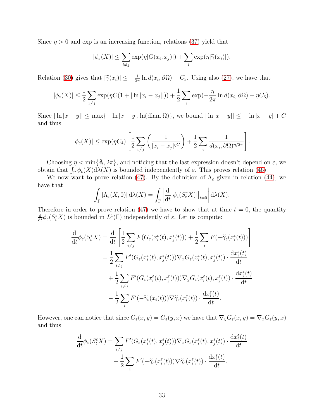Since  $\eta > 0$  and exp is an increasing function, relations [\(37\)](#page-22-3) yield that

$$
|\phi_{\varepsilon}(X)| \leq \sum_{i \neq j} \exp(\eta |G(x_i, x_j)|) + \sum_{i} \exp(\eta |\widetilde{\gamma}(x_i)|).
$$

Relation [\(30\)](#page-18-4) gives that  $|\tilde{\gamma}(x_i)| \leq -\frac{1}{2\pi} \ln d(x_i, \partial \Omega) + C_3$ . Using also [\(27\)](#page-18-6), we have that

$$
|\phi_{\varepsilon}(X)| \leq \frac{1}{2} \sum_{i \neq j} \exp(\eta C (1+|\ln|x_i - x_j||)) + \frac{1}{2} \sum_{i} \exp(-\frac{\eta}{2\pi} \ln d(x_i, \partial \Omega) + \eta C_3).
$$

Since  $|\ln|x-y|| \le \max\{-\ln|x-y|, \ln(\text{diam }\Omega)\}\)$ , we bound  $|\ln|x-y|| \le -\ln|x-y| + C$ and thus

$$
|\phi_{\varepsilon}(X)| \leq \exp(\eta C_4) \left[ \frac{1}{2} \sum_{i \neq j} \left( \frac{1}{|x_i - x_j|^{nC}} \right) + \frac{1}{2} \sum_{i} \frac{1}{d(x_i, \partial \Omega)^{n/2\pi}} \right].
$$

Choosing  $\eta < \min\{\frac{2}{C}\}$  $\{\frac{2}{C}, 2\pi\}$ , and noticing that the last expression doesn't depend on  $\varepsilon$ , we obtain that  $\int_{\Gamma} \phi_{\varepsilon}(X) d\lambda(X)$  is bounded independently of  $\varepsilon$ . This proves relation [\(46\)](#page-29-2).

We now want to prove relation [\(47\)](#page-30-0). By the definition of  $\Lambda_{\varepsilon}$  given in relation [\(44\)](#page-28-1), we have that

$$
\int_{\Gamma} |\Lambda_{\varepsilon}(X,0)| d\lambda(X) = \int_{\Gamma} \left| \frac{d}{dt} [\phi_{\varepsilon}(S_t^{\varepsilon} X)] \right|_{t=0} d\lambda(X).
$$

Therefore in order to prove relation [\(47\)](#page-30-0) we have to show that at time  $t = 0$ , the quantity d  $\frac{d}{dt}\phi_{\varepsilon}(S_t^{\varepsilon}X)$  is bounded in  $L^1(\Gamma)$  independently of  $\varepsilon$ . Let us compute:

$$
\frac{\mathrm{d}}{\mathrm{d}t}\phi_{\varepsilon}(S_{t}^{\varepsilon}X) = \frac{\mathrm{d}}{\mathrm{d}t}\left[\frac{1}{2}\sum_{i\neq j}F(G_{\varepsilon}(x_{i}^{\varepsilon}(t),x_{j}^{\varepsilon}(t))) + \frac{1}{2}\sum_{i}F(-\widetilde{\gamma}_{\varepsilon}(x_{i}^{\varepsilon}(t)))\right]
$$
\n
$$
= \frac{1}{2}\sum_{i\neq j}F'(G_{\varepsilon}(x_{i}^{\varepsilon}(t),x_{j}^{\varepsilon}(t)))\nabla_{x}G_{\varepsilon}(x_{i}^{\varepsilon}(t),x_{j}^{\varepsilon}(t))\cdot\frac{\mathrm{d}x_{i}^{\varepsilon}(t)}{\mathrm{d}t}
$$
\n
$$
+ \frac{1}{2}\sum_{i\neq j}F'(G_{\varepsilon}(x_{i}^{\varepsilon}(t),x_{j}^{\varepsilon}(t)))\nabla_{y}G_{\varepsilon}(x_{i}^{\varepsilon}(t),x_{j}^{\varepsilon}(t))\cdot\frac{\mathrm{d}x_{j}^{\varepsilon}(t)}{\mathrm{d}t}
$$
\n
$$
- \frac{1}{2}\sum_{i}F'(-\widetilde{\gamma}_{\varepsilon}(x_{i}(t)))\nabla\widetilde{\gamma}_{\varepsilon}(x_{i}^{\varepsilon}(t))\cdot\frac{\mathrm{d}x_{i}^{\varepsilon}(t)}{\mathrm{d}t}.
$$

However, one can notice that since  $G_{\varepsilon}(x, y) = G_{\varepsilon}(y, x)$  we have that  $\nabla_y G_{\varepsilon}(x, y) = \nabla_x G_{\varepsilon}(y, x)$ and thus

$$
\frac{\mathrm{d}}{\mathrm{d}t}\phi_{\varepsilon}(S_t^{\varepsilon}X) = \sum_{i \neq j} F'(G_{\varepsilon}(x_i^{\varepsilon}(t), x_j^{\varepsilon}(t)))\nabla_x G_{\varepsilon}(x_i^{\varepsilon}(t), x_j^{\varepsilon}(t)) \cdot \frac{\mathrm{d}x_i^{\varepsilon}(t)}{\mathrm{d}t} \n- \frac{1}{2} \sum_i F'(-\widetilde{\gamma}_{\varepsilon}(x_i^{\varepsilon}(t)))\nabla \widetilde{\gamma}_{\varepsilon}(x_i^{\varepsilon}(t)) \cdot \frac{\mathrm{d}x_i^{\varepsilon}(t)}{\mathrm{d}t}.
$$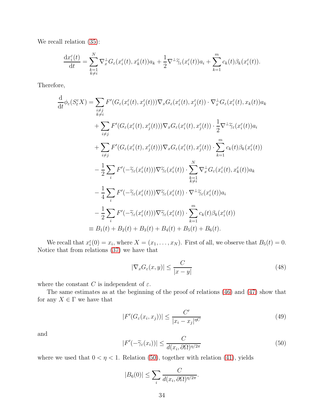We recall relation  $(35)$ :

$$
\frac{\mathrm{d} x_i^\varepsilon(t)}{\mathrm{d} t}=\sum_{\substack{k=1\\k\neq i}}^N \nabla^\perp_x G_\varepsilon(x_i^\varepsilon(t),x_k^\varepsilon(t))a_k+\frac{1}{2}\nabla^\perp\widetilde\gamma_\varepsilon(x_i^\varepsilon(t))a_i+\sum_{k=1}^m c_k(t)\beta_k(x_i^\varepsilon(t)).
$$

Therefore,

$$
\frac{d}{dt}\phi_{\varepsilon}(S_{t}^{\varepsilon}X) = \sum_{\substack{i \neq j \\ k \neq i}} F'(G_{\varepsilon}(x_{i}^{\varepsilon}(t), x_{j}^{\varepsilon}(t)))\nabla_{x}G_{\varepsilon}(x_{i}^{\varepsilon}(t), x_{j}^{\varepsilon}(t)) \cdot \nabla_{x}^{\perp}G_{\varepsilon}(x_{i}^{\varepsilon}(t), x_{k}(t))a_{k}
$$
\n
$$
+ \sum_{i \neq j} F'(G_{\varepsilon}(x_{i}^{\varepsilon}(t), x_{j}^{\varepsilon}(t)))\nabla_{x}G_{\varepsilon}(x_{i}^{\varepsilon}(t), x_{j}^{\varepsilon}(t)) \cdot \frac{1}{2}\nabla^{\perp}\tilde{\gamma}_{\varepsilon}(x_{i}^{\varepsilon}(t))a_{i}
$$
\n
$$
+ \sum_{i \neq j} F'(G_{\varepsilon}(x_{i}^{\varepsilon}(t), x_{j}^{\varepsilon}(t)))\nabla_{x}G_{\varepsilon}(x_{i}^{\varepsilon}(t), x_{j}^{\varepsilon}(t)) \cdot \sum_{k=1}^{m} c_{k}(t)\beta_{k}(x_{i}^{\varepsilon}(t))
$$
\n
$$
- \frac{1}{2}\sum_{i} F'(-\tilde{\gamma}_{\varepsilon}(x_{i}^{\varepsilon}(t)))\nabla\tilde{\gamma}_{\varepsilon}(x_{i}^{\varepsilon}(t)) \cdot \sum_{\substack{k=1 \\ k \neq i}}^{N} \nabla_{x}^{\perp}G_{\varepsilon}(x_{i}^{\varepsilon}(t), x_{k}^{\varepsilon}(t))a_{k}
$$
\n
$$
- \frac{1}{4}\sum_{i} F'(-\tilde{\gamma}_{\varepsilon}(x_{i}^{\varepsilon}(t)))\nabla\tilde{\gamma}_{\varepsilon}(x_{i}^{\varepsilon}(t)) \cdot \nabla^{\perp}\tilde{\gamma}_{\varepsilon}(x_{i}^{\varepsilon}(t))a_{i}
$$
\n
$$
- \frac{1}{2}\sum_{i} F'(-\tilde{\gamma}_{\varepsilon}(x_{i}^{\varepsilon}(t)))\nabla\tilde{\gamma}_{\varepsilon}(x_{i}^{\varepsilon}(t)) \cdot \sum_{k=1}^{m} c_{k}(
$$

We recall that  $x_i^{\varepsilon}(0) = x_i$ , where  $X = (x_1, \ldots, x_N)$ . First of all, we observe that  $B_5(t) = 0$ . Notice that from relations [\(37\)](#page-22-3) we have that

<span id="page-33-2"></span>
$$
|\nabla_x G_{\varepsilon}(x, y)| \le \frac{C}{|x - y|}
$$
\n(48)

where the constant  $C$  is independent of  $\varepsilon.$ 

The same estimates as at the beginning of the proof of relations [\(46\)](#page-29-2) and [\(47\)](#page-30-0) show that for any  $X \in \Gamma$  we have that

<span id="page-33-1"></span>
$$
|F'(G_{\varepsilon}(x_i, x_j))| \le \frac{C'}{|x_i - x_j|^{\eta C}}
$$
\n(49)

and

<span id="page-33-0"></span>
$$
|F'(-\widetilde{\gamma}_{\varepsilon}(x_i))| \le \frac{C}{d(x_i, \partial \Omega)^{\eta/2\pi}}
$$
\n(50)

where we used that  $0 < \eta < 1$ . Relation [\(50\)](#page-33-0), together with relation [\(41\)](#page-28-4), yields

$$
|B_6(0)| \leq \sum_i \frac{C}{d(x_i, \partial \Omega)^{\eta/2\pi}}.
$$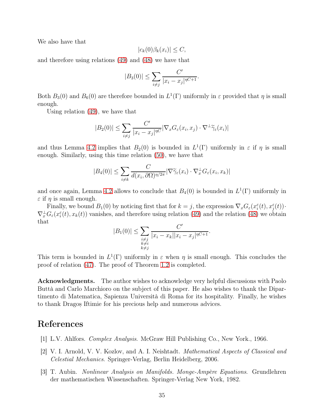We also have that

$$
|c_k(0)\beta_k(x_i)| \leq C,
$$

and therefore using relations [\(49\)](#page-33-1) and [\(48\)](#page-33-2) we have that

$$
|B_3(0)| \le \sum_{i \ne j} \frac{C'}{|x_i - x_j|^{\eta C + 1}}.
$$

Both  $B_3(0)$  and  $B_6(0)$  are therefore bounded in  $L^1(\Gamma)$  uniformly in  $\varepsilon$  provided that  $\eta$  is small enough.

Using relation [\(49\)](#page-33-1), we have that

$$
|B_2(0)| \leq \sum_{i \neq j} \frac{C'}{|x_i - x_j|^{\eta C}} |\nabla_x G_{\varepsilon}(x_i, x_j) \cdot \nabla^{\perp} \widetilde{\gamma}_{\varepsilon}(x_i)|
$$

and thus Lemma [4.2](#page-25-0) implies that  $B_2(0)$  is bounded in  $L^1(\Gamma)$  uniformly in  $\varepsilon$  if  $\eta$  is small enough. Similarly, using this time relation [\(50\)](#page-33-0), we have that

$$
|B_4(0)| \leq \sum_{i \neq k} \frac{C}{d(x_i, \partial \Omega)^{\eta/2\pi}} |\nabla \widetilde{\gamma}_{\varepsilon}(x_i) \cdot \nabla_x^{\perp} G_{\varepsilon}(x_i, x_k)|
$$

and once again, Lemma [4.2](#page-25-0) allows to conclude that  $B_4(0)$  is bounded in  $L^1(\Gamma)$  uniformly in  $\varepsilon$  if  $\eta$  is small enough.

Finally, we bound  $B_1(0)$  by noticing first that for  $k = j$ , the expression  $\nabla_x G_{\varepsilon}(x_i^{\varepsilon}(t), x_j^{\varepsilon}(t))$ .  $\nabla_x^{\perp} G_{\varepsilon}(x_i^{\varepsilon}(t), x_k(t))$  vanishes, and therefore using relation [\(49\)](#page-33-1) and the relation [\(48\)](#page-33-2) we obtain that

$$
|B_1(0)| \le \sum_{\substack{i \neq j \\ k \neq i}} \frac{C'}{|x_i - x_k||x_i - x_j|^{\eta C + 1}}.
$$

This term is bounded in  $L^1(\Gamma)$  uniformly in  $\varepsilon$  when  $\eta$  is small enough. This concludes the proof of relation [\(47\)](#page-30-0). The proof of Theorem [1.2](#page-2-1) is completed.

Acknowledgments. The author wishes to acknowledge very helpful discussions with Paolo Buttà and Carlo Marchioro on the subject of this paper. He also wishes to thank the Dipartimento di Matematica, Sapienza Università di Roma for its hospitality. Finally, he wishes to thank Dragos, Iftimie for his precious help and numerous advices.

## <span id="page-34-0"></span>References

- <span id="page-34-2"></span>[1] L.V. Ahlfors. Complex Analysis. McGraw Hill Publishing Co., New York., 1966.
- [2] V. I. Arnold, V. V. Kozlov, and A. I. Neishtadt. Mathematical Aspects of Classical and Celestial Mechanics. Springer-Verlag, Berlin Heidelberg, 2006.
- <span id="page-34-1"></span>[3] T. Aubin. Nonlinear Analysis on Manifolds. Monge-Ampère Equations. Grundlehren der mathematischen Wissenschaften. Springer-Verlag New York, 1982.